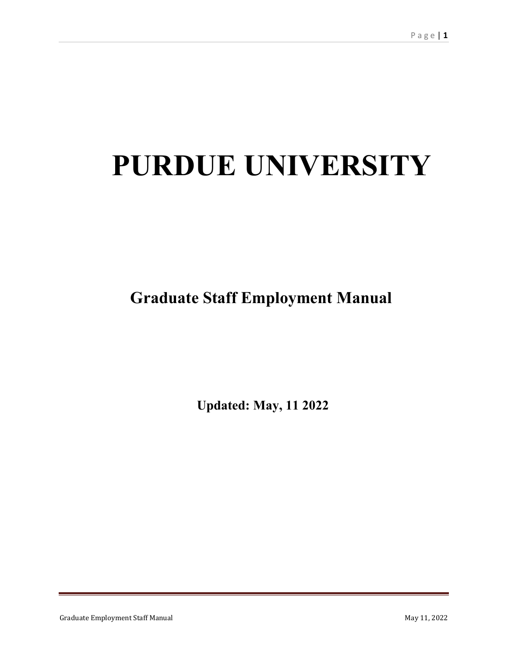# **PURDUE UNIVERSITY**

**Graduate Staff Employment Manual** 

**Updated: May, 11 2022**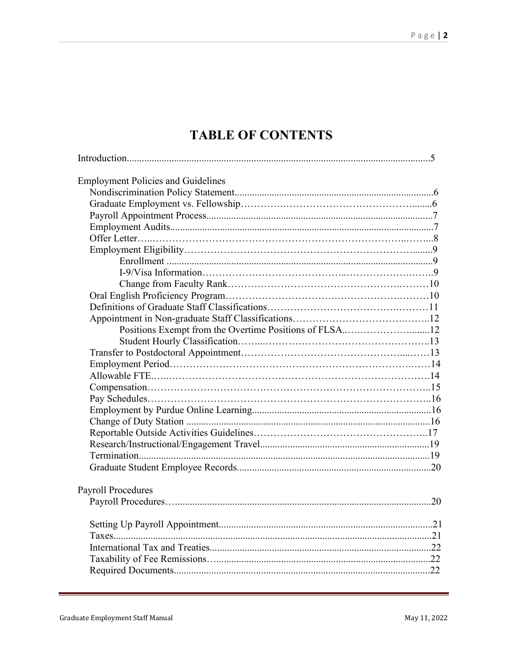## **TABLE OF CONTENTS**

| <b>Employment Policies and Guidelines</b> |  |
|-------------------------------------------|--|
|                                           |  |
|                                           |  |
|                                           |  |
|                                           |  |
|                                           |  |
|                                           |  |
|                                           |  |
|                                           |  |
|                                           |  |
|                                           |  |
|                                           |  |
|                                           |  |
|                                           |  |
|                                           |  |
|                                           |  |
|                                           |  |
|                                           |  |
|                                           |  |
|                                           |  |
|                                           |  |
|                                           |  |
|                                           |  |
|                                           |  |
|                                           |  |
|                                           |  |
|                                           |  |
| <b>Payroll Procedures</b>                 |  |
|                                           |  |
|                                           |  |
|                                           |  |
|                                           |  |
|                                           |  |
|                                           |  |
|                                           |  |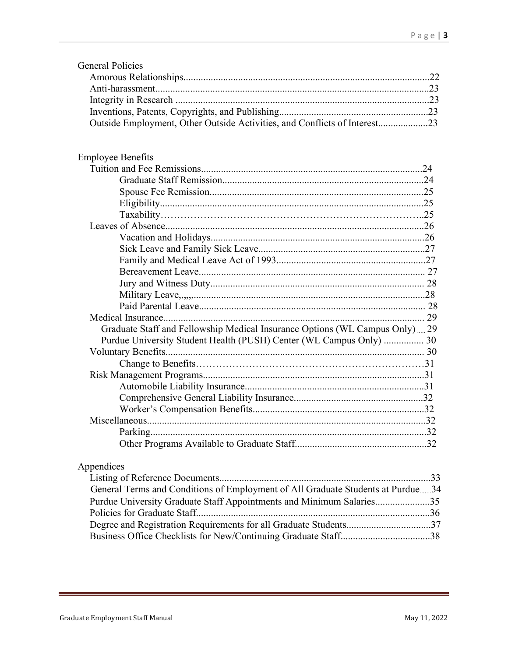| <b>General Policies</b>                                                      |  |
|------------------------------------------------------------------------------|--|
|                                                                              |  |
|                                                                              |  |
|                                                                              |  |
|                                                                              |  |
| Outside Employment, Other Outside Activities, and Conflicts of Interest23    |  |
|                                                                              |  |
| <b>Employee Benefits</b>                                                     |  |
|                                                                              |  |
|                                                                              |  |
|                                                                              |  |
|                                                                              |  |
|                                                                              |  |
|                                                                              |  |
|                                                                              |  |
|                                                                              |  |
|                                                                              |  |
|                                                                              |  |
|                                                                              |  |
|                                                                              |  |
|                                                                              |  |
|                                                                              |  |
| Graduate Staff and Fellowship Medical Insurance Options (WL Campus Only)  29 |  |
| Purdue University Student Health (PUSH) Center (WL Campus Only)  30          |  |
|                                                                              |  |
|                                                                              |  |
|                                                                              |  |
|                                                                              |  |
|                                                                              |  |
|                                                                              |  |
|                                                                              |  |
|                                                                              |  |
|                                                                              |  |
|                                                                              |  |

## Appendices

| General Terms and Conditions of Employment of All Graduate Students at Purdue34 |  |
|---------------------------------------------------------------------------------|--|
| Purdue University Graduate Staff Appointments and Minimum Salaries35            |  |
|                                                                                 |  |
| Degree and Registration Requirements for all Graduate Students37                |  |
|                                                                                 |  |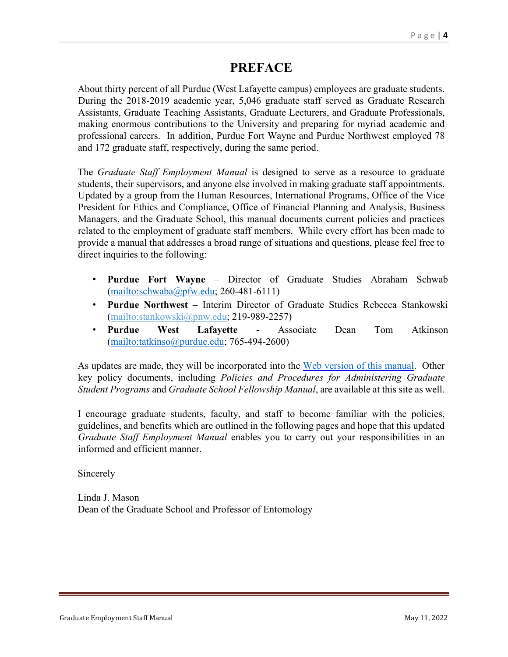## **PREFACE**

About thirty percent of all Purdue (West Lafayette campus) employees are graduate students. During the 2018-2019 academic year, 5,046 graduate staff served as Graduate Research Assistants, Graduate Teaching Assistants, Graduate Lecturers, and Graduate Professionals, making enormous contributions to the University and preparing for myriad academic and professional careers. In addition, Purdue Fort Wayne and Purdue Northwest employed 78 and 172 graduate staff, respectively, during the same period.

The *Graduate Staff Employment Manual* is designed to serve as a resource to graduate students, their supervisors, and anyone else involved in making graduate staff appointments. Updated by a group from the Human Resources, International Programs, Office of the Vice President for Ethics and Compliance, Office of Financial Planning and Analysis, Business Managers, and the Graduate School, this manual documents current policies and practices related to the employment of graduate staff members. While every effort has been made to provide a manual that addresses a broad range of situations and questions, please feel free to direct inquiries to the following:

- **Purdue Fort Wayne** Director of Graduate Studies Abraham Schwab [\(mailto:schwaba@pfw.edu;](mailto:schwaba@pfw.edu) 260-481-6111)
- **Purdue Northwest** Interim Director of Graduate Studies Rebecca Stankowski [\(mailto:stankowski@pnw.edu;](mailto:stankowski@pnw.edu) 219-989-2257)
- **Purdue West Lafayette** Associate Dean Tom Atkinson [\(mailto:tatkinso@purdue.edu;](mailto:tatkinso@purdue.edu) 765-494-2600)

As updates are made, they will be incorporated into the [Web version of this manual.](https://www.purdue.edu/gradschool/documents/gpo/graduate-student-employment-manual.pdf) Other key policy documents, including *Policies and Procedures for Administering Graduate Student Programs* and *Graduate School Fellowship Manual*, are available at this site as well.

I encourage graduate students, faculty, and staff to become familiar with the policies, guidelines, and benefits which are outlined in the following pages and hope that this updated *Graduate Staff Employment Manual* enables you to carry out your responsibilities in an informed and efficient manner.

Sincerely

Linda J. Mason Dean of the Graduate School and Professor of Entomology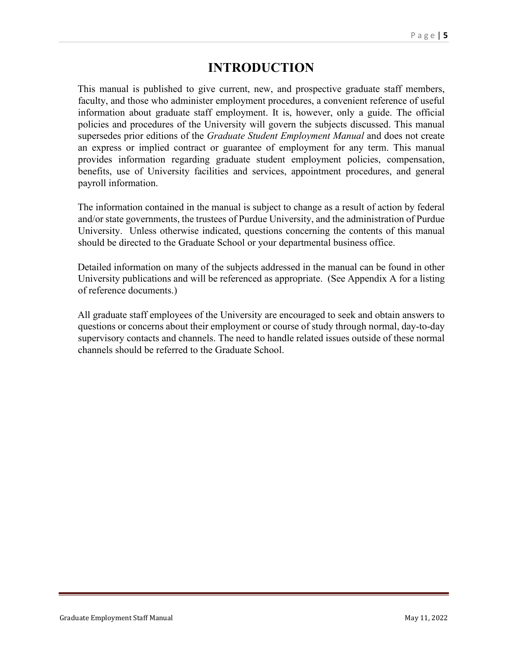## **INTRODUCTION**

This manual is published to give current, new, and prospective graduate staff members, faculty, and those who administer employment procedures, a convenient reference of useful information about graduate staff employment. It is, however, only a guide. The official policies and procedures of the University will govern the subjects discussed. This manual supersedes prior editions of the *Graduate Student Employment Manual* and does not create an express or implied contract or guarantee of employment for any term. This manual provides information regarding graduate student employment policies, compensation, benefits, use of University facilities and services, appointment procedures, and general payroll information.

The information contained in the manual is subject to change as a result of action by federal and/or state governments, the trustees of Purdue University, and the administration of Purdue University. Unless otherwise indicated, questions concerning the contents of this manual should be directed to the Graduate School or your departmental business office.

Detailed information on many of the subjects addressed in the manual can be found in other University publications and will be referenced as appropriate. (See Appendix A for a listing of reference documents.)

All graduate staff employees of the University are encouraged to seek and obtain answers to questions or concerns about their employment or course of study through normal, day-to-day supervisory contacts and channels. The need to handle related issues outside of these normal channels should be referred to the Graduate School.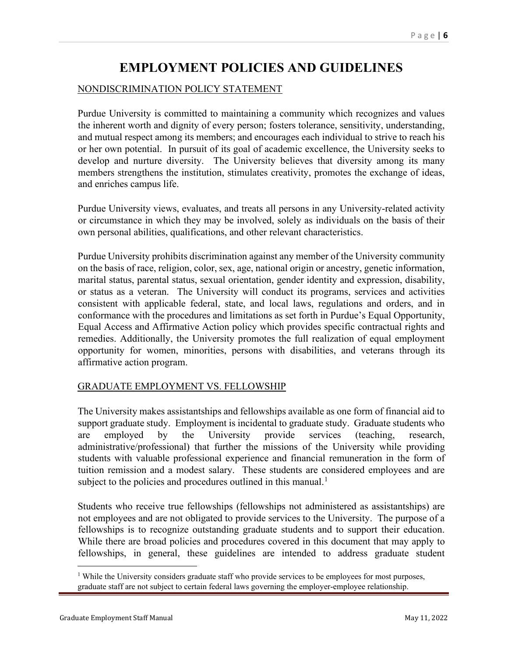## **EMPLOYMENT POLICIES AND GUIDELINES**

#### NONDISCRIMINATION POLICY STATEMENT

Purdue University is committed to maintaining a community which recognizes and values the inherent worth and dignity of every person; fosters tolerance, sensitivity, understanding, and mutual respect among its members; and encourages each individual to strive to reach his or her own potential. In pursuit of its goal of academic excellence, the University seeks to develop and nurture diversity. The University believes that diversity among its many members strengthens the institution, stimulates creativity, promotes the exchange of ideas, and enriches campus life.

Purdue University views, evaluates, and treats all persons in any University-related activity or circumstance in which they may be involved, solely as individuals on the basis of their own personal abilities, qualifications, and other relevant characteristics.

Purdue University prohibits discrimination against any member of the University community on the basis of race, religion, color, sex, age, national origin or ancestry, genetic information, marital status, parental status, sexual orientation, gender identity and expression, disability, or status as a veteran. The University will conduct its programs, services and activities consistent with applicable federal, state, and local laws, regulations and orders, and in conformance with the procedures and limitations as set forth in Purdue's Equal Opportunity, Equal Access and Affirmative Action policy which provides specific contractual rights and remedies. Additionally, the University promotes the full realization of equal employment opportunity for women, minorities, persons with disabilities, and veterans through its affirmative action program.

#### GRADUATE EMPLOYMENT VS. FELLOWSHIP

The University makes assistantships and fellowships available as one form of financial aid to support graduate study. Employment is incidental to graduate study. Graduate students who are employed by the University provide services (teaching, research, administrative/professional) that further the missions of the University while providing students with valuable professional experience and financial remuneration in the form of tuition remission and a modest salary. These students are considered employees and are subject to the policies and procedures outlined in this manual.<sup>[1](#page-5-0)</sup>

Students who receive true fellowships (fellowships not administered as assistantships) are not employees and are not obligated to provide services to the University. The purpose of a fellowships is to recognize outstanding graduate students and to support their education. While there are broad policies and procedures covered in this document that may apply to fellowships, in general, these guidelines are intended to address graduate student

<span id="page-5-0"></span><sup>&</sup>lt;sup>1</sup> While the University considers graduate staff who provide services to be employees for most purposes, graduate staff are not subject to certain federal laws governing the employer-employee relationship.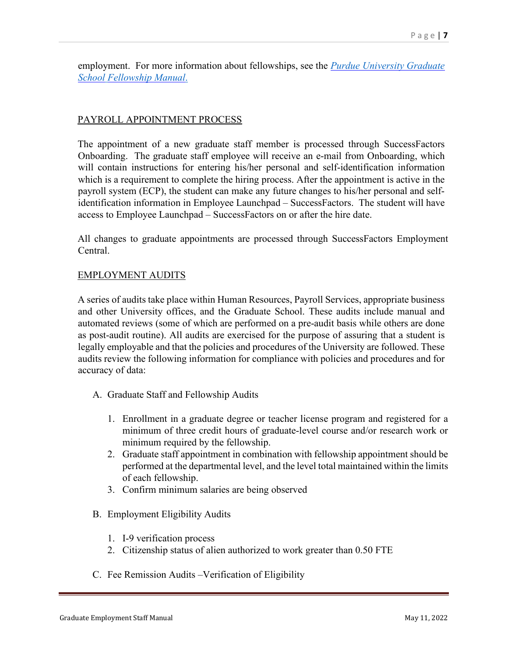employment. For more information about fellowships, see the *[Purdue University](https://www.purdue.edu/gradschool/documents/funding/fellowships/fellows-manual.pdf) Graduate School [Fellowship Manual](https://www.purdue.edu/gradschool/documents/funding/fellowships/fellows-manual.pdf)*.

#### PAYROLL APPOINTMENT PROCESS

The appointment of a new graduate staff member is processed through SuccessFactors Onboarding. The graduate staff employee will receive an e-mail from Onboarding, which will contain instructions for entering his/her personal and self-identification information which is a requirement to complete the hiring process. After the appointment is active in the payroll system (ECP), the student can make any future changes to his/her personal and selfidentification information in Employee Launchpad – SuccessFactors. The student will have access to Employee Launchpad – SuccessFactors on or after the hire date.

All changes to graduate appointments are processed through SuccessFactors Employment Central.

#### EMPLOYMENT AUDITS

A series of audits take place within Human Resources, Payroll Services, appropriate business and other University offices, and the Graduate School. These audits include manual and automated reviews (some of which are performed on a pre-audit basis while others are done as post-audit routine). All audits are exercised for the purpose of assuring that a student is legally employable and that the policies and procedures of the University are followed. These audits review the following information for compliance with policies and procedures and for accuracy of data:

- A. Graduate Staff and Fellowship Audits
	- 1. Enrollment in a graduate degree or teacher license program and registered for a minimum of three credit hours of graduate-level course and/or research work or minimum required by the fellowship.
	- 2. Graduate staff appointment in combination with fellowship appointment should be performed at the departmental level, and the level total maintained within the limits of each fellowship.
	- 3. Confirm minimum salaries are being observed
- B. Employment Eligibility Audits
	- 1. I-9 verification process
	- 2. Citizenship status of alien authorized to work greater than 0.50 FTE
- C. Fee Remission Audits –Verification of Eligibility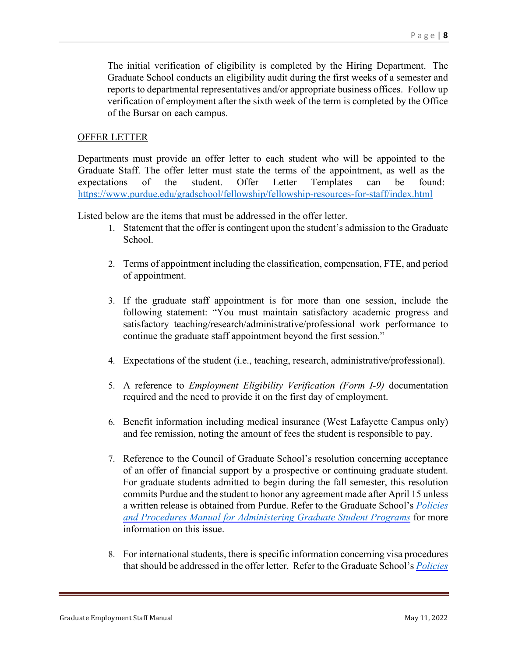The initial verification of eligibility is completed by the Hiring Department. The Graduate School conducts an eligibility audit during the first weeks of a semester and reports to departmental representatives and/or appropriate business offices. Follow up verification of employment after the sixth week of the term is completed by the Office of the Bursar on each campus.

#### OFFER LETTER

Departments must provide an offer letter to each student who will be appointed to the Graduate Staff. The offer letter must state the terms of the appointment, as well as the expectations of the student. Offer Letter Templates can be found: <https://www.purdue.edu/gradschool/fellowship/fellowship-resources-for-staff/index.html>

Listed below are the items that must be addressed in the offer letter.

- 1. Statement that the offer is contingent upon the student's admission to the Graduate School.
- 2. Terms of appointment including the classification, compensation, FTE, and period of appointment.
- 3. If the graduate staff appointment is for more than one session, include the following statement: "You must maintain satisfactory academic progress and satisfactory teaching/research/administrative/professional work performance to continue the graduate staff appointment beyond the first session."
- 4. Expectations of the student (i.e., teaching, research, administrative/professional).
- 5. A reference to *Employment Eligibility Verification (Form I-9)* documentation required and the need to provide it on the first day of employment.
- 6. Benefit information including medical insurance (West Lafayette Campus only) and fee remission, noting the amount of fees the student is responsible to pay.
- 7. Reference to the Council of Graduate School's resolution concerning acceptance of an offer of financial support by a prospective or continuing graduate student. For graduate students admitted to begin during the fall semester, this resolution commits Purdue and the student to honor any agreement made after April 15 unless a written release is obtained from Purdue. Refer to the Graduate School's *[Policies](http://catalog.purdue.edu/content.php?catoid=9&navoid=10534&_ga=2.167031544.717505119.1578921010-6518525.1575982261#establishing-new-graduate-programs) [and Procedures Manual for Administering Graduate Student Programs](http://catalog.purdue.edu/content.php?catoid=9&navoid=10534&_ga=2.167031544.717505119.1578921010-6518525.1575982261#establishing-new-graduate-programs)* for more information on this issue.
- 8. For international students, there is specific information concerning visa procedures that should be addressed in the offer letter. Refer to the Graduate School's *[Policies](http://catalog.purdue.edu/content.php?catoid=9&navoid=10534&_ga=2.167031544.717505119.1578921010-6518525.1575982261#establishing-new-graduate-programs)*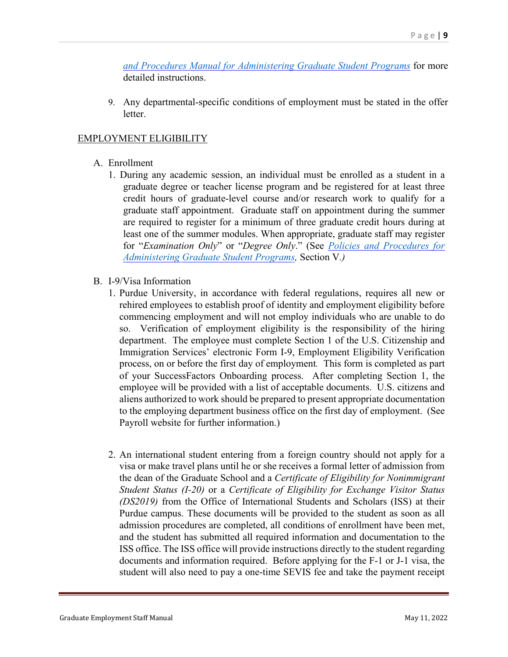*[and Procedures Manual for Administering Graduate Student Programs](http://catalog.purdue.edu/content.php?catoid=9&navoid=10534&_ga=2.167031544.717505119.1578921010-6518525.1575982261#establishing-new-graduate-programs)* for more detailed instructions.

9. Any departmental-specific conditions of employment must be stated in the offer letter.

#### EMPLOYMENT ELIGIBILITY

- A. Enrollment
	- 1. During any academic session, an individual must be enrolled as a student in a graduate degree or teacher license program and be registered for at least three credit hours of graduate-level course and/or research work to qualify for a graduate staff appointment. Graduate staff on appointment during the summer are required to register for a minimum of three graduate credit hours during at least one of the summer modules. When appropriate, graduate staff may register for "*Examination Only*" or "*Degree Only*." (See *[Policies and Procedures for](http://catalog.purdue.edu/content.php?catoid=9&navoid=10534&_ga=2.167031544.717505119.1578921010-6518525.1575982261#establishing-new-graduate-programs)  Administering [Graduate Student Programs,](http://catalog.purdue.edu/content.php?catoid=9&navoid=10534&_ga=2.167031544.717505119.1578921010-6518525.1575982261#establishing-new-graduate-programs)* Section V*.)*
- B. I-9/Visa Information
	- 1. Purdue University, in accordance with federal regulations, requires all new or rehired employees to establish proof of identity and employment eligibility before commencing employment and will not employ individuals who are unable to do so. Verification of employment eligibility is the responsibility of the hiring department. The employee must complete Section 1 of the U.S. Citizenship and Immigration Services' electronic Form I-9, Employment Eligibility Verification process, on or before the first day of employment*.* This form is completed as part of your SuccessFactors Onboarding process. After completing Section 1, the employee will be provided with a list of acceptable documents. U.S. citizens and aliens authorized to work should be prepared to present appropriate documentation to the employing department business office on the first day of employment. (See Payroll website for further information.)
	- 2. An international student entering from a foreign country should not apply for a visa or make travel plans until he or she receives a formal letter of admission from the dean of the Graduate School and a *Certificate of Eligibility for Nonimmigrant Student Status (I-20)* or a *Certificate of Eligibility for Exchange Visitor Status (DS2019)* from the Office of International Students and Scholars (ISS) at their Purdue campus. These documents will be provided to the student as soon as all admission procedures are completed, all conditions of enrollment have been met, and the student has submitted all required information and documentation to the ISS office. The ISS office will provide instructions directly to the student regarding documents and information required. Before applying for the F-1 or J-1 visa, the student will also need to pay a one-time SEVIS fee and take the payment receipt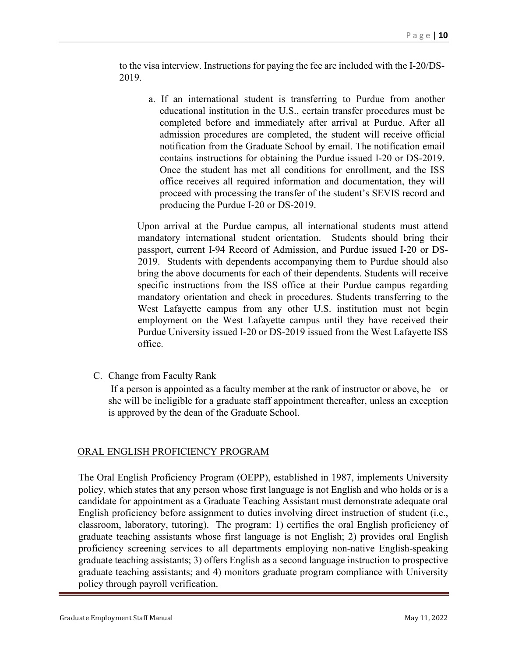to the visa interview. Instructions for paying the fee are included with the I-20/DS-2019.

a. If an international student is transferring to Purdue from another educational institution in the U.S., certain transfer procedures must be completed before and immediately after arrival at Purdue. After all admission procedures are completed, the student will receive official notification from the Graduate School by email. The notification email contains instructions for obtaining the Purdue issued I-20 or DS-2019. Once the student has met all conditions for enrollment, and the ISS office receives all required information and documentation, they will proceed with processing the transfer of the student's SEVIS record and producing the Purdue I-20 or DS-2019.

Upon arrival at the Purdue campus, all international students must attend mandatory international student orientation. Students should bring their passport, current I-94 Record of Admission, and Purdue issued I-20 or DS-2019. Students with dependents accompanying them to Purdue should also bring the above documents for each of their dependents. Students will receive specific instructions from the ISS office at their Purdue campus regarding mandatory orientation and check in procedures. Students transferring to the West Lafayette campus from any other U.S. institution must not begin employment on the West Lafayette campus until they have received their Purdue University issued I-20 or DS-2019 issued from the West Lafayette ISS office.

C. Change from Faculty Rank

If a person is appointed as a faculty member at the rank of instructor or above, he or she will be ineligible for a graduate staff appointment thereafter, unless an exception is approved by the dean of the Graduate School.

#### ORAL ENGLISH PROFICIENCY PROGRAM

The Oral English Proficiency Program (OEPP), established in 1987, implements University policy, which states that any person whose first language is not English and who holds or is a candidate for appointment as a Graduate Teaching Assistant must demonstrate adequate oral English proficiency before assignment to duties involving direct instruction of student (i.e., classroom, laboratory, tutoring). The program: 1) certifies the oral English proficiency of graduate teaching assistants whose first language is not English; 2) provides oral English proficiency screening services to all departments employing non-native English-speaking graduate teaching assistants; 3) offers English as a second language instruction to prospective graduate teaching assistants; and 4) monitors graduate program compliance with University policy through payroll verification.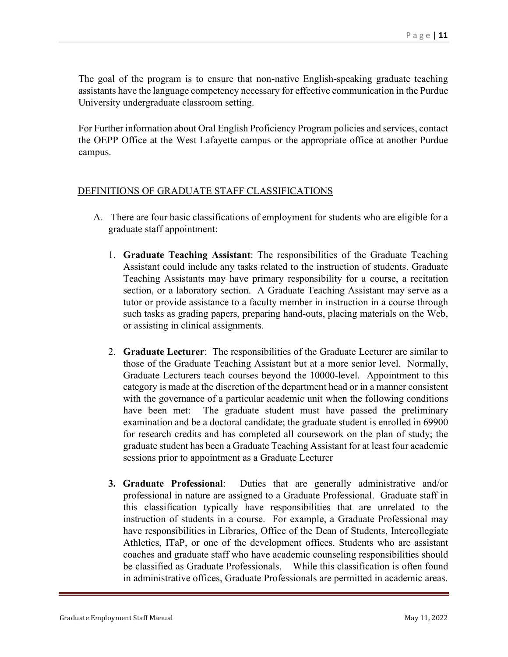The goal of the program is to ensure that non-native English-speaking graduate teaching assistants have the language competency necessary for effective communication in the Purdue University undergraduate classroom setting.

For Further information about Oral English Proficiency Program policies and services, contact the OEPP Office at the West Lafayette campus or the appropriate office at another Purdue campus.

#### DEFINITIONS OF GRADUATE STAFF CLASSIFICATIONS

- A. There are four basic classifications of employment for students who are eligible for a graduate staff appointment:
	- 1. **Graduate Teaching Assistant**: The responsibilities of the Graduate Teaching Assistant could include any tasks related to the instruction of students. Graduate Teaching Assistants may have primary responsibility for a course, a recitation section, or a laboratory section. A Graduate Teaching Assistant may serve as a tutor or provide assistance to a faculty member in instruction in a course through such tasks as grading papers, preparing hand-outs, placing materials on the Web, or assisting in clinical assignments.
	- 2. **Graduate Lecturer**: The responsibilities of the Graduate Lecturer are similar to those of the Graduate Teaching Assistant but at a more senior level. Normally, Graduate Lecturers teach courses beyond the 10000-level. Appointment to this category is made at the discretion of the department head or in a manner consistent with the governance of a particular academic unit when the following conditions have been met: The graduate student must have passed the preliminary examination and be a doctoral candidate; the graduate student is enrolled in 69900 for research credits and has completed all coursework on the plan of study; the graduate student has been a Graduate Teaching Assistant for at least four academic sessions prior to appointment as a Graduate Lecturer
	- **3. Graduate Professional**: Duties that are generally administrative and/or professional in nature are assigned to a Graduate Professional. Graduate staff in this classification typically have responsibilities that are unrelated to the instruction of students in a course. For example, a Graduate Professional may have responsibilities in Libraries, Office of the Dean of Students, Intercollegiate Athletics, ITaP, or one of the development offices. Students who are assistant coaches and graduate staff who have academic counseling responsibilities should be classified as Graduate Professionals. While this classification is often found in administrative offices, Graduate Professionals are permitted in academic areas.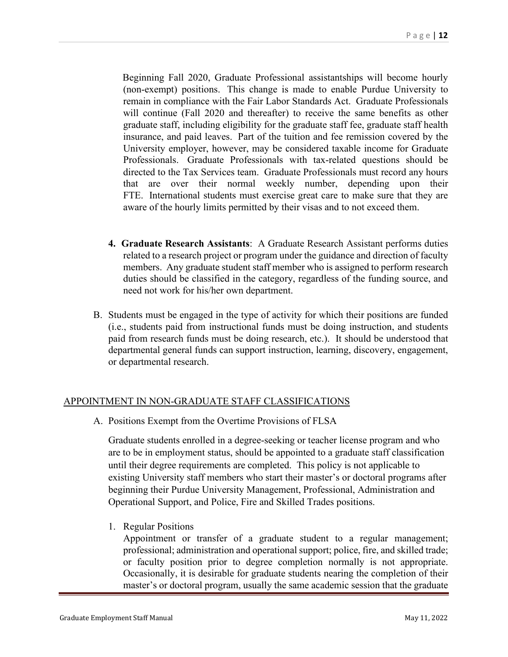Beginning Fall 2020, Graduate Professional assistantships will become hourly (non-exempt) positions. This change is made to enable Purdue University to remain in compliance with the Fair Labor Standards Act. Graduate Professionals will continue (Fall 2020 and thereafter) to receive the same benefits as other graduate staff, including eligibility for the graduate staff fee, graduate staff health insurance, and paid leaves. Part of the tuition and fee remission covered by the University employer, however, may be considered taxable income for Graduate Professionals. Graduate Professionals with tax-related questions should be directed to the Tax Services team. Graduate Professionals must record any hours that are over their normal weekly number, depending upon their FTE. International students must exercise great care to make sure that they are aware of the hourly limits permitted by their visas and to not exceed them.

- **4. Graduate Research Assistants**: A Graduate Research Assistant performs duties related to a research project or program under the guidance and direction of faculty members. Any graduate student staff member who is assigned to perform research duties should be classified in the category, regardless of the funding source, and need not work for his/her own department.
- B. Students must be engaged in the type of activity for which their positions are funded (i.e., students paid from instructional funds must be doing instruction, and students paid from research funds must be doing research, etc.). It should be understood that departmental general funds can support instruction, learning, discovery, engagement, or departmental research.

#### APPOINTMENT IN NON-GRADUATE STAFF CLASSIFICATIONS

A. Positions Exempt from the Overtime Provisions of FLSA

Graduate students enrolled in a degree-seeking or teacher license program and who are to be in employment status, should be appointed to a graduate staff classification until their degree requirements are completed. This policy is not applicable to existing University staff members who start their master's or doctoral programs after beginning their Purdue University Management, Professional, Administration and Operational Support, and Police, Fire and Skilled Trades positions.

1. Regular Positions

Appointment or transfer of a graduate student to a regular management; professional; administration and operational support; police, fire, and skilled trade; or faculty position prior to degree completion normally is not appropriate. Occasionally, it is desirable for graduate students nearing the completion of their master's or doctoral program, usually the same academic session that the graduate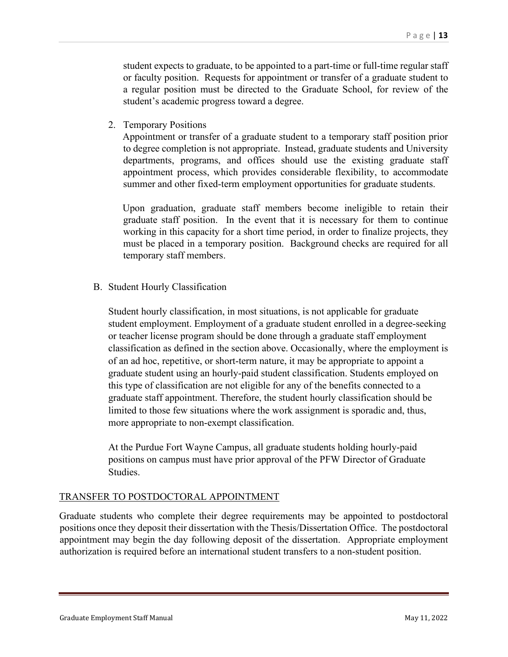student expects to graduate, to be appointed to a part-time or full-time regular staff or faculty position. Requests for appointment or transfer of a graduate student to a regular position must be directed to the Graduate School, for review of the student's academic progress toward a degree.

2. Temporary Positions

Appointment or transfer of a graduate student to a temporary staff position prior to degree completion is not appropriate. Instead, graduate students and University departments, programs, and offices should use the existing graduate staff appointment process, which provides considerable flexibility, to accommodate summer and other fixed-term employment opportunities for graduate students.

Upon graduation, graduate staff members become ineligible to retain their graduate staff position. In the event that it is necessary for them to continue working in this capacity for a short time period, in order to finalize projects, they must be placed in a temporary position. Background checks are required for all temporary staff members.

B. Student Hourly Classification

Student hourly classification, in most situations, is not applicable for graduate student employment. Employment of a graduate student enrolled in a degree-seeking or teacher license program should be done through a graduate staff employment classification as defined in the section above. Occasionally, where the employment is of an ad hoc, repetitive, or short-term nature, it may be appropriate to appoint a graduate student using an hourly-paid student classification. Students employed on this type of classification are not eligible for any of the benefits connected to a graduate staff appointment. Therefore, the student hourly classification should be limited to those few situations where the work assignment is sporadic and, thus, more appropriate to non-exempt classification.

At the Purdue Fort Wayne Campus, all graduate students holding hourly-paid positions on campus must have prior approval of the PFW Director of Graduate Studies.

#### TRANSFER TO POSTDOCTORAL APPOINTMENT

Graduate students who complete their degree requirements may be appointed to postdoctoral positions once they deposit their dissertation with the Thesis/Dissertation Office. The postdoctoral appointment may begin the day following deposit of the dissertation. Appropriate employment authorization is required before an international student transfers to a non-student position.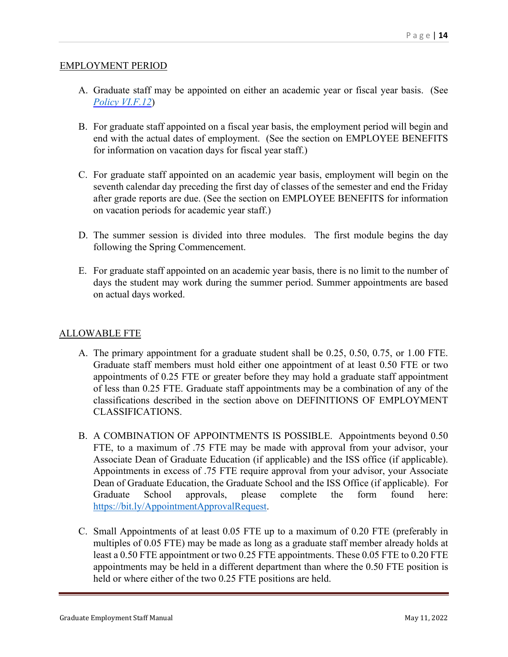#### EMPLOYMENT PERIOD

- A. Graduate staff may be appointed on either an academic year or fiscal year basis. (See *[Policy VI.F.12](https://www.purdue.edu/policies/human-resources/vif12.html)*)
- B. For graduate staff appointed on a fiscal year basis, the employment period will begin and end with the actual dates of employment. (See the section on EMPLOYEE BENEFITS for information on vacation days for fiscal year staff.)
- C. For graduate staff appointed on an academic year basis, employment will begin on the seventh calendar day preceding the first day of classes of the semester and end the Friday after grade reports are due. (See the section on EMPLOYEE BENEFITS for information on vacation periods for academic year staff.)
- D. The summer session is divided into three modules. The first module begins the day following the Spring Commencement.
- E. For graduate staff appointed on an academic year basis, there is no limit to the number of days the student may work during the summer period. Summer appointments are based on actual days worked.

#### ALLOWABLE FTE

- A. The primary appointment for a graduate student shall be 0.25, 0.50, 0.75, or 1.00 FTE. Graduate staff members must hold either one appointment of at least 0.50 FTE or two appointments of 0.25 FTE or greater before they may hold a graduate staff appointment of less than 0.25 FTE. Graduate staff appointments may be a combination of any of the classifications described in the section above on DEFINITIONS OF EMPLOYMENT CLASSIFICATIONS.
- B. A COMBINATION OF APPOINTMENTS IS POSSIBLE. Appointments beyond 0.50 FTE, to a maximum of .75 FTE may be made with approval from your advisor, your Associate Dean of Graduate Education (if applicable) and the ISS office (if applicable). Appointments in excess of .75 FTE require approval from your advisor, your Associate Dean of Graduate Education, the Graduate School and the ISS Office (if applicable). For Graduate School approvals, please complete the form found here: [https://bit.ly/AppointmentApprovalRequest.](https://bit.ly/AppointmentApprovalRequest)
- C. Small Appointments of at least 0.05 FTE up to a maximum of 0.20 FTE (preferably in multiples of 0.05 FTE) may be made as long as a graduate staff member already holds at least a 0.50 FTE appointment or two 0.25 FTE appointments. These 0.05 FTE to 0.20 FTE appointments may be held in a different department than where the 0.50 FTE position is held or where either of the two 0.25 FTE positions are held.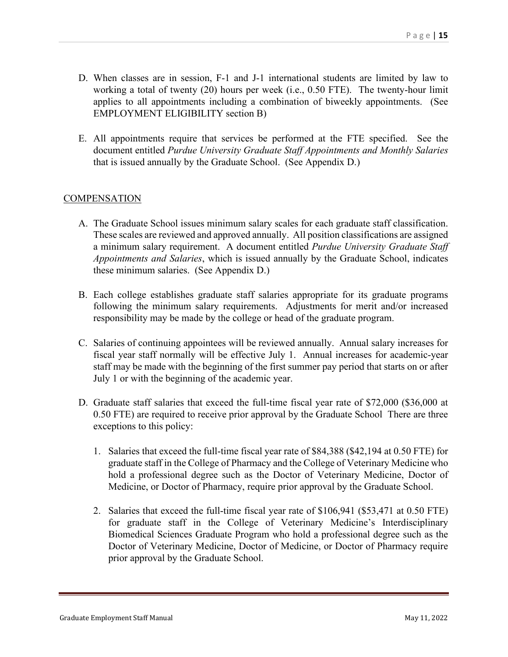- D. When classes are in session, F-1 and J-1 international students are limited by law to working a total of twenty (20) hours per week (i.e., 0.50 FTE). The twenty-hour limit applies to all appointments including a combination of biweekly appointments. (See EMPLOYMENT ELIGIBILITY section B)
- E. All appointments require that services be performed at the FTE specified. See the document entitled *Purdue University Graduate Staff Appointments and Monthly Salaries* that is issued annually by the Graduate School. (See Appendix D.)

#### **COMPENSATION**

- A. The Graduate School issues minimum salary scales for each graduate staff classification. These scales are reviewed and approved annually. All position classifications are assigned a minimum salary requirement. A document entitled *Purdue University Graduate Staff Appointments and Salaries*, which is issued annually by the Graduate School, indicates these minimum salaries. (See Appendix D.)
- B. Each college establishes graduate staff salaries appropriate for its graduate programs following the minimum salary requirements. Adjustments for merit and/or increased responsibility may be made by the college or head of the graduate program.
- C. Salaries of continuing appointees will be reviewed annually. Annual salary increases for fiscal year staff normally will be effective July 1. Annual increases for academic-year staff may be made with the beginning of the first summer pay period that starts on or after July 1 or with the beginning of the academic year.
- D. Graduate staff salaries that exceed the full-time fiscal year rate of \$72,000 (\$36,000 at 0.50 FTE) are required to receive prior approval by the Graduate School There are three exceptions to this policy:
	- 1. Salaries that exceed the full-time fiscal year rate of \$84,388 (\$42,194 at 0.50 FTE) for graduate staff in the College of Pharmacy and the College of Veterinary Medicine who hold a professional degree such as the Doctor of Veterinary Medicine, Doctor of Medicine, or Doctor of Pharmacy, require prior approval by the Graduate School.
	- 2. Salaries that exceed the full-time fiscal year rate of \$106,941 (\$53,471 at 0.50 FTE) for graduate staff in the College of Veterinary Medicine's Interdisciplinary Biomedical Sciences Graduate Program who hold a professional degree such as the Doctor of Veterinary Medicine, Doctor of Medicine, or Doctor of Pharmacy require prior approval by the Graduate School.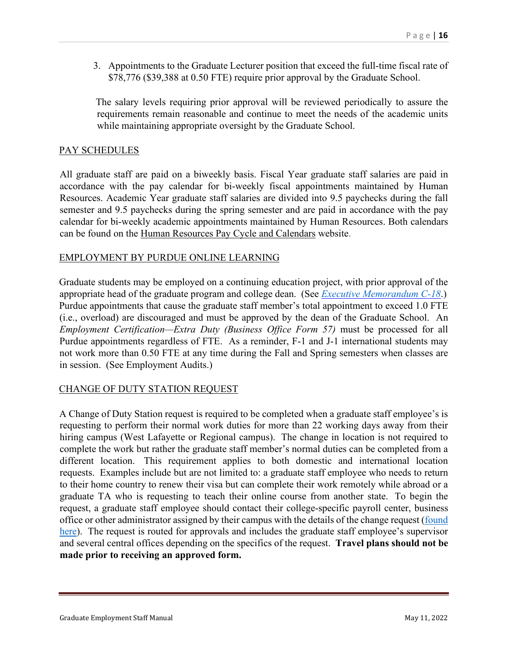3. Appointments to the Graduate Lecturer position that exceed the full-time fiscal rate of \$78,776 (\$39,388 at 0.50 FTE) require prior approval by the Graduate School.

The salary levels requiring prior approval will be reviewed periodically to assure the requirements remain reasonable and continue to meet the needs of the academic units while maintaining appropriate oversight by the Graduate School.

#### PAY SCHEDULES

All graduate staff are paid on a biweekly basis. Fiscal Year graduate staff salaries are paid in accordance with the pay calendar for bi-weekly fiscal appointments maintained by Human Resources. Academic Year graduate staff salaries are divided into 9.5 paychecks during the fall semester and 9.5 paychecks during the spring semester and are paid in accordance with the pay calendar for bi-weekly academic appointments maintained by Human Resources. Both calendars can be found on the [Human Resources Pay Cycle and Calendars](https://www.purdue.edu/hr/paytimepractices/paycontractdates/index.php) website.

#### EMPLOYMENT BY PURDUE ONLINE LEARNING

Graduate students may be employed on a continuing education project, with prior approval of the appropriate head of the graduate program and college dean. (See *[Executive Memorandum C-18](https://www.purdue.edu/policies/human-resources/c-18.html)*.) Purdue appointments that cause the graduate staff member's total appointment to exceed 1.0 FTE (i.e., overload) are discouraged and must be approved by the dean of the Graduate School. An *Employment Certification—Extra Duty (Business Office Form 57)* must be processed for all Purdue appointments regardless of FTE. As a reminder, F-1 and J-1 international students may not work more than 0.50 FTE at any time during the Fall and Spring semesters when classes are in session. (See Employment Audits.)

#### CHANGE OF DUTY STATION REQUEST

A Change of Duty Station request is required to be completed when a graduate staff employee's is requesting to perform their normal work duties for more than 22 working days away from their hiring campus (West Lafayette or Regional campus). The change in location is not required to complete the work but rather the graduate staff member's normal duties can be completed from a different location. This requirement applies to both domestic and international location requests. Examples include but are not limited to: a graduate staff employee who needs to return to their home country to renew their visa but can complete their work remotely while abroad or a graduate TA who is requesting to teach their online course from another state. To begin the request, a graduate staff employee should contact their college-specific payroll center, business office or other administrator assigned by their campus with the details of the change request (found [here\)](https://www.purdue.edu/newsroom/purduetoday/releases/2020/Q2/updates-made-to-form,-process-for-change-in-duty-station.html). The request is routed for approvals and includes the graduate staff employee's supervisor and several central offices depending on the specifics of the request. **Travel plans should not be made prior to receiving an approved form.**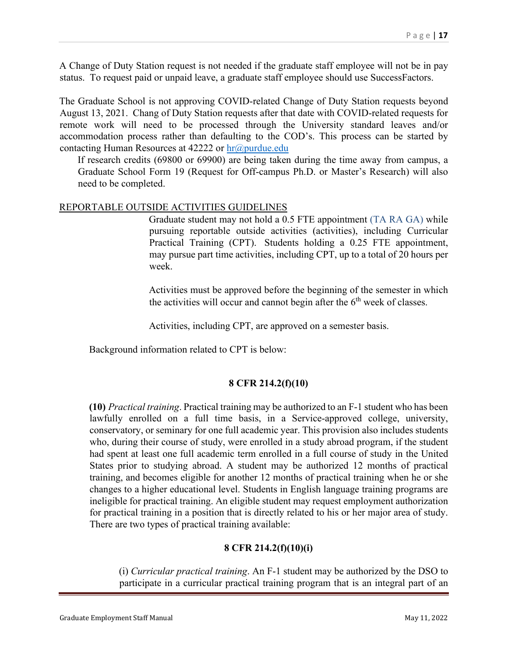A Change of Duty Station request is not needed if the graduate staff employee will not be in pay status. To request paid or unpaid leave, a graduate staff employee should use SuccessFactors.

The Graduate School is not approving COVID-related Change of Duty Station requests beyond August 13, 2021. Chang of Duty Station requests after that date with COVID-related requests for remote work will need to be processed through the University standard leaves and/or accommodation process rather than defaulting to the COD's. This process can be started by contacting Human Resources at  $42222$  or  $hr@purdue.edu$ 

If research credits (69800 or 69900) are being taken during the time away from campus, a Graduate School Form 19 (Request for Off-campus Ph.D. or Master's Research) will also need to be completed.

#### REPORTABLE OUTSIDE ACTIVITIES GUIDELINES

Graduate student may not hold a 0.5 FTE appointment (TA RA GA) while pursuing reportable outside activities (activities), including Curricular Practical Training (CPT). Students holding a 0.25 FTE appointment, may pursue part time activities, including CPT, up to a total of 20 hours per week.

Activities must be approved before the beginning of the semester in which the activities will occur and cannot begin after the  $6<sup>th</sup>$  week of classes.

Activities, including CPT, are approved on a semester basis.

Background information related to CPT is below:

#### **8 CFR 214.2(f)(10)**

**(10)** *Practical training*. Practical training may be authorized to an F-1 student who has been lawfully enrolled on a full time basis, in a Service-approved college, university, conservatory, or seminary for one full academic year. This provision also includes students who, during their course of study, were enrolled in a study abroad program, if the student had spent at least one full academic term enrolled in a full course of study in the United States prior to studying abroad. A student may be authorized 12 months of practical training, and becomes eligible for another 12 months of practical training when he or she changes to a higher educational level. Students in English language training programs are ineligible for practical training. An eligible student may request employment authorization for practical training in a position that is directly related to his or her major area of study. There are two types of practical training available:

#### **8 CFR 214.2(f)(10)(i)**

(i) *Curricular practical training*. An F-1 student may be authorized by the DSO to participate in a curricular practical training program that is an integral part of an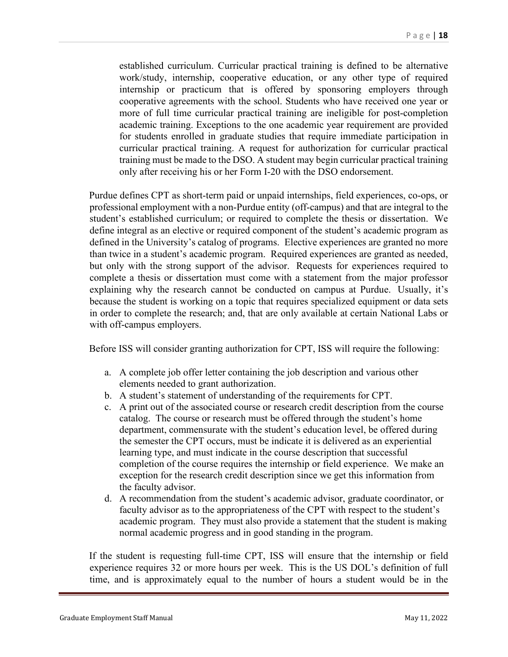established curriculum. Curricular practical training is defined to be alternative work/study, internship, cooperative education, or any other type of required internship or practicum that is offered by sponsoring employers through cooperative agreements with the school. Students who have received one year or more of full time curricular practical training are ineligible for post-completion academic training. Exceptions to the one academic year requirement are provided for students enrolled in graduate studies that require immediate participation in curricular practical training. A request for authorization for curricular practical training must be made to the DSO. A student may begin curricular practical training only after receiving his or her Form I-20 with the DSO endorsement.

Purdue defines CPT as short-term paid or unpaid internships, field experiences, co-ops, or professional employment with a non-Purdue entity (off-campus) and that are integral to the student's established curriculum; or required to complete the thesis or dissertation. We define integral as an elective or required component of the student's academic program as defined in the University's catalog of programs. Elective experiences are granted no more than twice in a student's academic program. Required experiences are granted as needed, but only with the strong support of the advisor. Requests for experiences required to complete a thesis or dissertation must come with a statement from the major professor explaining why the research cannot be conducted on campus at Purdue. Usually, it's because the student is working on a topic that requires specialized equipment or data sets in order to complete the research; and, that are only available at certain National Labs or with off-campus employers.

Before ISS will consider granting authorization for CPT, ISS will require the following:

- a. A complete job offer letter containing the job description and various other elements needed to grant authorization.
- b. A student's statement of understanding of the requirements for CPT.
- c. A print out of the associated course or research credit description from the course catalog. The course or research must be offered through the student's home department, commensurate with the student's education level, be offered during the semester the CPT occurs, must be indicate it is delivered as an experiential learning type, and must indicate in the course description that successful completion of the course requires the internship or field experience. We make an exception for the research credit description since we get this information from the faculty advisor.
- d. A recommendation from the student's academic advisor, graduate coordinator, or faculty advisor as to the appropriateness of the CPT with respect to the student's academic program. They must also provide a statement that the student is making normal academic progress and in good standing in the program.

If the student is requesting full-time CPT, ISS will ensure that the internship or field experience requires 32 or more hours per week. This is the US DOL's definition of full time, and is approximately equal to the number of hours a student would be in the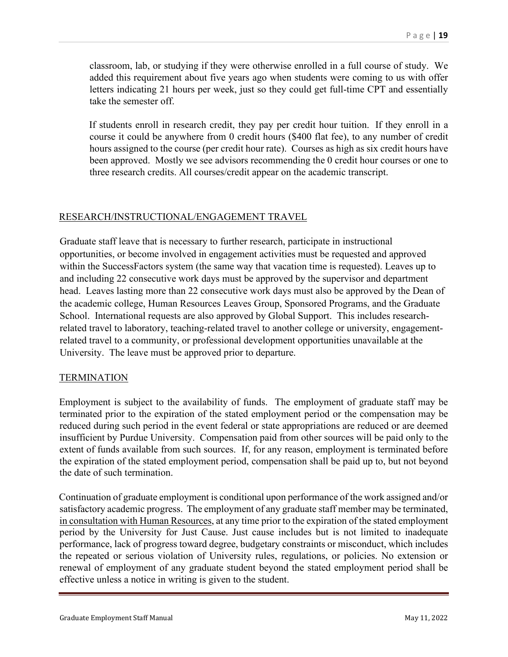classroom, lab, or studying if they were otherwise enrolled in a full course of study. We added this requirement about five years ago when students were coming to us with offer letters indicating 21 hours per week, just so they could get full-time CPT and essentially take the semester off.

If students enroll in research credit, they pay per credit hour tuition. If they enroll in a course it could be anywhere from 0 credit hours (\$400 flat fee), to any number of credit hours assigned to the course (per credit hour rate). Courses as high as six credit hours have been approved. Mostly we see advisors recommending the 0 credit hour courses or one to three research credits. All courses/credit appear on the academic transcript.

#### RESEARCH/INSTRUCTIONAL/ENGAGEMENT TRAVEL

Graduate staff leave that is necessary to further research, participate in instructional opportunities, or become involved in engagement activities must be requested and approved within the SuccessFactors system (the same way that vacation time is requested). Leaves up to and including 22 consecutive work days must be approved by the supervisor and department head. Leaves lasting more than 22 consecutive work days must also be approved by the Dean of the academic college, Human Resources Leaves Group, Sponsored Programs, and the Graduate School. International requests are also approved by Global Support. This includes researchrelated travel to laboratory, teaching-related travel to another college or university, engagementrelated travel to a community, or professional development opportunities unavailable at the University. The leave must be approved prior to departure.

#### **TERMINATION**

Employment is subject to the availability of funds. The employment of graduate staff may be terminated prior to the expiration of the stated employment period or the compensation may be reduced during such period in the event federal or state appropriations are reduced or are deemed insufficient by Purdue University. Compensation paid from other sources will be paid only to the extent of funds available from such sources. If, for any reason, employment is terminated before the expiration of the stated employment period, compensation shall be paid up to, but not beyond the date of such termination.

Continuation of graduate employment is conditional upon performance of the work assigned and/or satisfactory academic progress. The employment of any graduate staff member may be terminated, in consultation with Human Resources, at any time prior to the expiration of the stated employment period by the University for Just Cause. Just cause includes but is not limited to inadequate performance, lack of progress toward degree, budgetary constraints or misconduct, which includes the repeated or serious violation of University rules, regulations, or policies. No extension or renewal of employment of any graduate student beyond the stated employment period shall be effective unless a notice in writing is given to the student.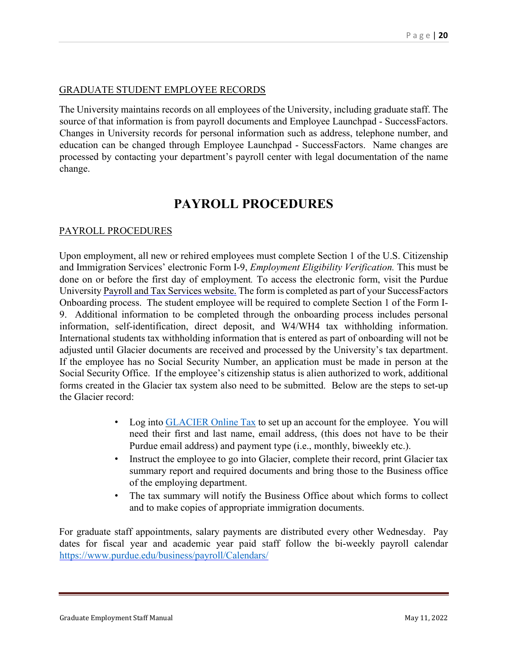#### GRADUATE STUDENT EMPLOYEE RECORDS

The University maintains records on all employees of the University, including graduate staff. The source of that information is from payroll documents and Employee Launchpad - SuccessFactors. Changes in University records for personal information such as address, telephone number, and education can be changed through Employee Launchpad - SuccessFactors. Name changes are processed by contacting your department's payroll center with legal documentation of the name change.

## **PAYROLL PROCEDURES**

#### PAYROLL PROCEDURES

Upon employment, all new or rehired employees must complete Section 1 of the U.S. Citizenship and Immigration Services' electronic Form I-9, *Employment Eligibility Verification.* This must be done on or before the first day of employment*.* To access the electronic form, visit the Purdue University Payroll and [Tax Services website.](https://www.purdue.edu/studentemployment/site/EmployeeResources/Payroll.html) The form is completed as part of your SuccessFactors Onboarding process. The student employee will be required to complete Section 1 of the Form I-9. Additional information to be completed through the onboarding process includes personal information, self-identification, direct deposit, and W4/WH4 tax withholding information. International students tax withholding information that is entered as part of onboarding will not be adjusted until Glacier documents are received and processed by the University's tax department. If the employee has no Social Security Number, an application must be made in person at the Social Security Office. If the employee's citizenship status is alien authorized to work, additional forms created in the Glacier tax system also need to be submitted. Below are the steps to set-up the Glacier record:

- Log into **GLACIER** Online Tax to set up an account for the employee. You will need their first and last name, email address, (this does not have to be their Purdue email address) and payment type (i.e., monthly, biweekly etc.).
- Instruct the employee to go into Glacier, complete their record, print Glacier tax summary report and required documents and bring those to the Business office of the employing department.
- The tax summary will notify the Business Office about which forms to collect and to make copies of appropriate immigration documents.

For graduate staff appointments, salary payments are distributed every other Wednesday. Pay dates for fiscal year and academic year paid staff follow the bi-weekly payroll calendar <https://www.purdue.edu/business/payroll/Calendars/>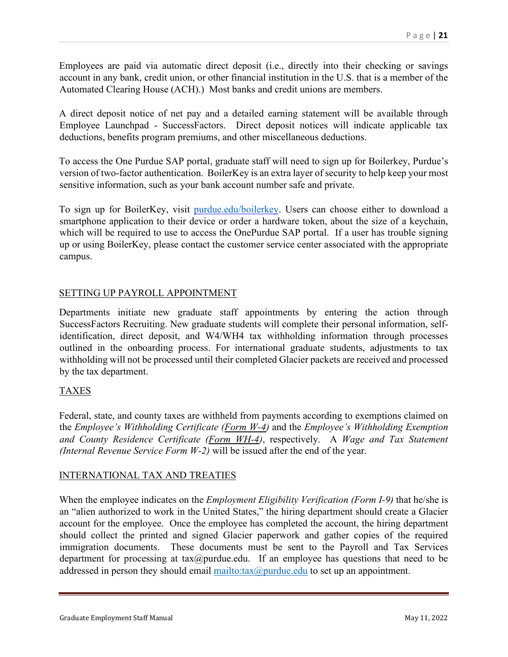Employees are paid via automatic direct deposit (i.e., directly into their checking or savings account in any bank, credit union, or other financial institution in the U.S. that is a member of the Automated Clearing House (ACH).) Most banks and credit unions are members.

A direct deposit notice of net pay and a detailed earning statement will be available through Employee Launchpad - SuccessFactors. Direct deposit notices will indicate applicable tax deductions, benefits program premiums, and other miscellaneous deductions.

To access the One Purdue SAP portal, graduate staff will need to sign up for Boilerkey, Purdue's version of two-factor authentication. BoilerKey is an extra layer of security to help keep your most sensitive information, such as your bank account number safe and private.

To sign up for BoilerKey, visit purdue.edu/boilerkey. Users can choose either to download a smartphone application to their device or order a hardware token, about the size of a keychain, which will be required to use to access the OnePurdue SAP portal. If a user has trouble signing up or using BoilerKey, please contact the customer service center associated with the appropriate campus.

#### SETTING UP PAYROLL APPOINTMENT

Departments initiate new graduate staff appointments by entering the action through SuccessFactors Recruiting. New graduate students will complete their personal information, selfidentification, direct deposit, and W4/WH4 tax withholding information through processes outlined in the onboarding process. For international graduate students, adjustments to tax withholding will not be processed until their completed Glacier packets are received and processed by the tax department.

### TAXES

Federal, state, and county taxes are withheld from payments according to exemptions claimed on the *Employee's Withholding Certificate (Form W-4)* and the *Employee's Withholding Exemption and County Residence Certificate (Form WH-4)*, respectively. A *Wage and Tax Statement (Internal Revenue Service Form W-2)* will be issued after the end of the year.

#### INTERNATIONAL TAX AND TREATIES

When the employee indicates on the *Employment Eligibility Verification (Form I-9)* that he/she is an "alien authorized to work in the United States," the hiring department should create a Glacier account for the employee. Once the employee has completed the account, the hiring department should collect the printed and signed Glacier paperwork and gather copies of the required immigration documents. These documents must be sent to the Payroll and Tax Services department for processing at tax@purdue.edu. If an employee has questions that need to be addressed in person they should email mailto: $\text{tax}(\widehat{a})$  purdue.edu to set up an appointment.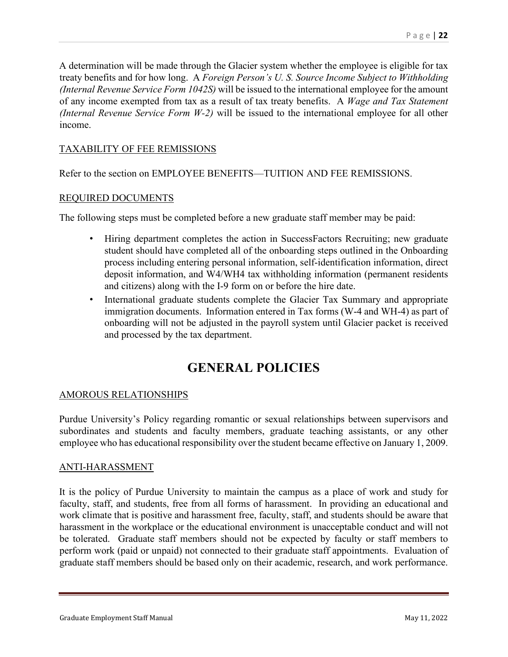A determination will be made through the Glacier system whether the employee is eligible for tax treaty benefits and for how long. A *Foreign Person's U. S. Source Income Subject to Withholding (Internal Revenue Service Form 1042S)* will be issued to the international employee for the amount of any income exempted from tax as a result of tax treaty benefits. A *Wage and Tax Statement (Internal Revenue Service Form W-2)* will be issued to the international employee for all other income.

#### TAXABILITY OF FEE REMISSIONS

Refer to the section on EMPLOYEE BENEFITS—TUITION AND FEE REMISSIONS.

#### REQUIRED DOCUMENTS

The following steps must be completed before a new graduate staff member may be paid:

- Hiring department completes the action in SuccessFactors Recruiting; new graduate student should have completed all of the onboarding steps outlined in the Onboarding process including entering personal information, self-identification information, direct deposit information, and W4/WH4 tax withholding information (permanent residents and citizens) along with the I-9 form on or before the hire date.
- International graduate students complete the Glacier Tax Summary and appropriate immigration documents. Information entered in Tax forms (W-4 and WH-4) as part of onboarding will not be adjusted in the payroll system until Glacier packet is received and processed by the tax department.

## **GENERAL POLICIES**

#### AMOROUS RELATIONSHIPS

Purdue University's Policy regarding romantic or sexual relationships between supervisors and subordinates and students and faculty members, graduate teaching assistants, or any other employee who has educational responsibility over the student became effective on January 1, 2009.

#### ANTI-HARASSMENT

It is the policy of Purdue University to maintain the campus as a place of work and study for faculty, staff, and students, free from all forms of harassment. In providing an educational and work climate that is positive and harassment free, faculty, staff, and students should be aware that harassment in the workplace or the educational environment is unacceptable conduct and will not be tolerated. Graduate staff members should not be expected by faculty or staff members to perform work (paid or unpaid) not connected to their graduate staff appointments. Evaluation of graduate staff members should be based only on their academic, research, and work performance.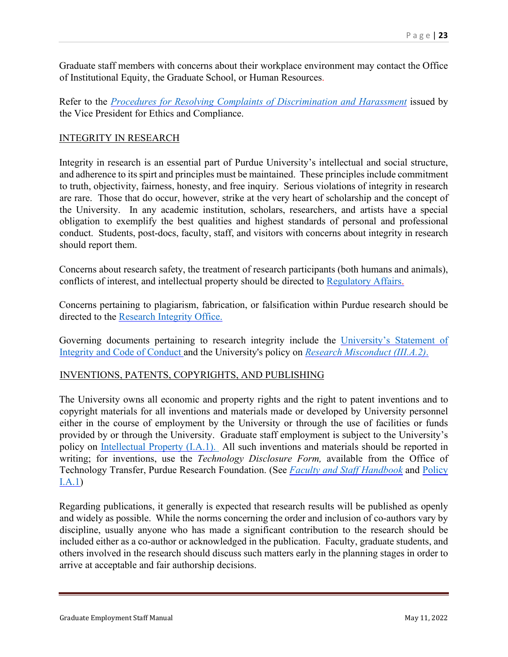Graduate staff members with concerns about their workplace environment may contact the Office of Institutional Equity, the Graduate School, or Human Resources.

Refer to the *Procedures for Resolving [Complaints of Discrimination and Harassment](https://www.purdue.edu/ethics/resources/resolving-complaints.php)* issued by the Vice President for Ethics and Compliance.

#### INTEGRITY IN RESEARCH

Integrity in research is an essential part of Purdue University's intellectual and social structure, and adherence to its spirt and principles must be maintained. These principles include commitment to truth, objectivity, fairness, honesty, and free inquiry. Serious violations of integrity in research are rare. Those that do occur, however, strike at the very heart of scholarship and the concept of the University. In any academic institution, scholars, researchers, and artists have a special obligation to exemplify the best qualities and highest standards of personal and professional conduct. Students, post-docs, faculty, staff, and visitors with concerns about integrity in research should report them.

Concerns about research safety, the treatment of research participants (both humans and animals), conflicts of interest, and intellectual property should be directed to [Regulatory Affairs.](https://www.purdue.edu/research/regulatory-affairs/)

Concerns pertaining to plagiarism, fabrication, or falsification within Purdue research should be directed to the [Research Integrity Office.](https://www.purdue.edu/provost/researchIntegrity/)

Governing documents pertaining to research integrity include the [University's Statement of](https://www.purdue.edu/purdue/about/integrity_statement.php) [Integrity and Code of Conduct](https://www.purdue.edu/purdue/about/integrity_statement.php) and the University's policy on *[Research Misconduct \(III.A.2\)](https://www.purdue.edu/policies/ethics/iiia2.html)*.

#### INVENTIONS, PATENTS, COPYRIGHTS, AND PUBLISHING

The University owns all economic and property rights and the right to patent inventions and to copyright materials for all inventions and materials made or developed by University personnel either in the course of employment by the University or through the use of facilities or funds provided by or through the University. Graduate staff employment is subject to the University's policy on [Intellectual Property \(I.A.1\).](https://www.purdue.edu/policies/academic-research-affairs/ia1.html) All such inventions and materials should be reported in writing; for inventions, use the *Technology Disclosure Form,* available from the Office of Technology Transfer, Purdue Research Foundation. (See *[Faculty and Staff Handbook](https://www.purdue.edu/faculty_staff_handbook/)* and [Policy](https://www.purdue.edu/policies/academic-research-affairs/ia1.html) [I.A.1\)](https://www.purdue.edu/policies/academic-research-affairs/ia1.html)

Regarding publications, it generally is expected that research results will be published as openly and widely as possible. While the norms concerning the order and inclusion of co-authors vary by discipline, usually anyone who has made a significant contribution to the research should be included either as a co-author or acknowledged in the publication. Faculty, graduate students, and others involved in the research should discuss such matters early in the planning stages in order to arrive at acceptable and fair authorship decisions.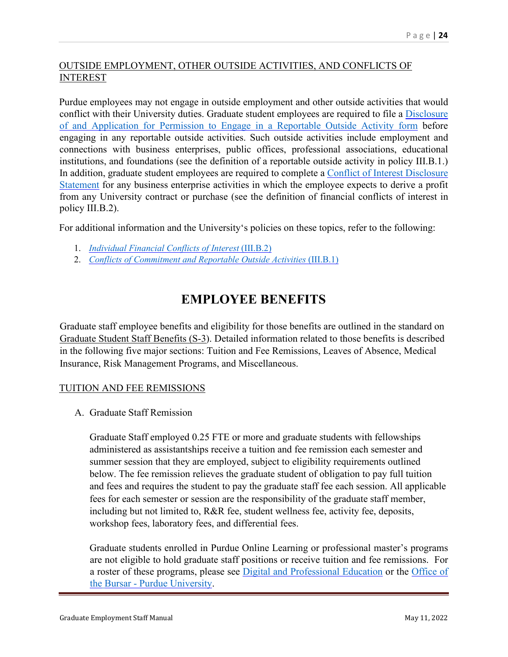#### OUTSIDE EMPLOYMENT, OTHER OUTSIDE ACTIVITIES, AND CONFLICTS OF INTEREST

Purdue employees may not engage in outside employment and other outside activities that would conflict with their University duties. Graduate student employees are required to file a [Disclosure](https://www.purdue.edu/ethics/resources/ROAformguidelines.php) [of and Application for Permission to Engage in a Reportable Outside Activity form](https://www.purdue.edu/ethics/resources/ROAformguidelines.php) before engaging in any reportable outside activities. Such outside activities include employment and connections with business enterprises, public offices, professional associations, educational institutions, and foundations (see the definition of a reportable outside activity in policy III.B.1.) In addition, graduate student employees are required to complete a [Conflict of Interest](https://www.purdue.edu/newsroom/purduetoday/releases/2016/Q3/reminder-reportable-outside-activities-and-conflict-of-interest-report.html) Disclosure [Statement](https://www.purdue.edu/newsroom/purduetoday/releases/2016/Q3/reminder-reportable-outside-activities-and-conflict-of-interest-report.html) for any business enterprise activities in which the employee expects to derive a profit from any University contract or purchase (see the definition of financial conflicts of interest in policy III.B.2).

For additional information and the University's policies on these topics, refer to the following:

- 1. *[Individual Financial Conflicts of Interest](https://www.purdue.edu/policies/ethics/iiib2.html)* (III.B.2)
- 2. *[Conflicts of Commitment and Reportable Outside Activities](https://www.purdue.edu/policies/ethics/iiib1.html)* (III.B.1)

## **EMPLOYEE BENEFITS**

Graduate staff employee benefits and eligibility for those benefits are outlined in the standard on [Graduate Student Staff Benefits \(S-3\)](https://www.purdue.edu/policies/human-resources/s3.html). Detailed information related to those benefits is described in the following five major sections: Tuition and Fee Remissions, Leaves of Absence, Medical Insurance, Risk Management Programs, and Miscellaneous.

#### TUITION AND FEE REMISSIONS

A. Graduate Staff Remission

Graduate Staff employed 0.25 FTE or more and graduate students with fellowships administered as assistantships receive a tuition and fee remission each semester and summer session that they are employed, subject to eligibility requirements outlined below. The fee remission relieves the graduate student of obligation to pay full tuition and fees and requires the student to pay the graduate staff fee each session. All applicable fees for each semester or session are the responsibility of the graduate staff member, including but not limited to, R&R fee, student wellness fee, activity fee, deposits, workshop fees, laboratory fees, and differential fees.

Graduate students enrolled in Purdue Online Learning or professional master's programs are not eligible to hold graduate staff positions or receive tuition and fee remissions. For a roster of these programs, please see [Digital and Professional Education](https://spa2013.itap.purdue.edu/extended/pdf/Documents/Purdue%20Online%20Program%20Rates%20AY%2020-21%20Accessibility%20Checked.pdf?_ga=2.12762836) or the [Office of](https://www.purdue.edu/bursar/tuition/feerates/2020-2021/other/Professional%20Masters%20Programs.php)  the Bursar - [Purdue University.](https://www.purdue.edu/bursar/tuition/feerates/2020-2021/other/Professional%20Masters%20Programs.php)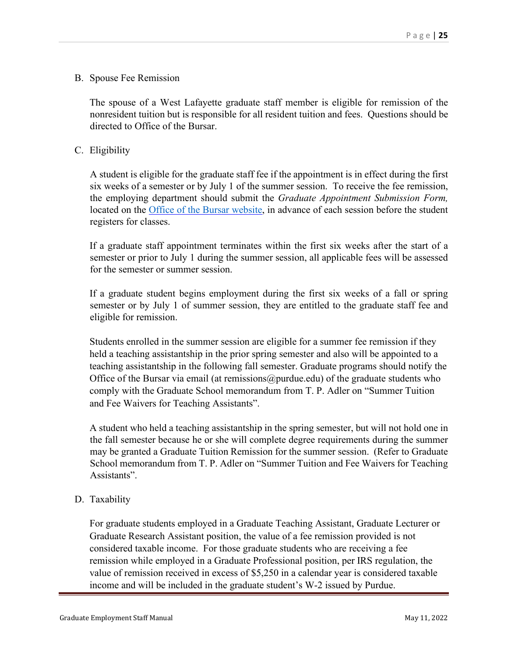#### B. Spouse Fee Remission

The spouse of a West Lafayette graduate staff member is eligible for remission of the nonresident tuition but is responsible for all resident tuition and fees. Questions should be directed to Office of the Bursar.

#### C. Eligibility

A student is eligible for the graduate staff fee if the appointment is in effect during the first six weeks of a semester or by July 1 of the summer session. To receive the fee remission, the employing department should submit the *Graduate Appointment Submission Form,*  located on the [Office of the Bursar website,](https://www.purdue.edu/bursar/) in advance of each session before the student registers for classes.

If a graduate staff appointment terminates within the first six weeks after the start of a semester or prior to July 1 during the summer session, all applicable fees will be assessed for the semester or summer session.

If a graduate student begins employment during the first six weeks of a fall or spring semester or by July 1 of summer session, they are entitled to the graduate staff fee and eligible for remission.

Students enrolled in the summer session are eligible for a summer fee remission if they held a teaching assistantship in the prior spring semester and also will be appointed to a teaching assistantship in the following fall semester. Graduate programs should notify the Office of the Bursar via email (at remissions  $@p$  and  $b$ ) of the graduate students who comply with the Graduate School memorandum from T. P. Adler on "Summer Tuition and Fee Waivers for Teaching Assistants".

A student who held a teaching assistantship in the spring semester, but will not hold one in the fall semester because he or she will complete degree requirements during the summer may be granted a Graduate Tuition Remission for the summer session. (Refer to Graduate School memorandum from T. P. Adler on "Summer Tuition and Fee Waivers for Teaching Assistants".

#### D. Taxability

For graduate students employed in a Graduate Teaching Assistant, Graduate Lecturer or Graduate Research Assistant position, the value of a fee remission provided is not considered taxable income. For those graduate students who are receiving a fee remission while employed in a Graduate Professional position, per IRS regulation, the value of remission received in excess of \$5,250 in a calendar year is considered taxable income and will be included in the graduate student's W-2 issued by Purdue.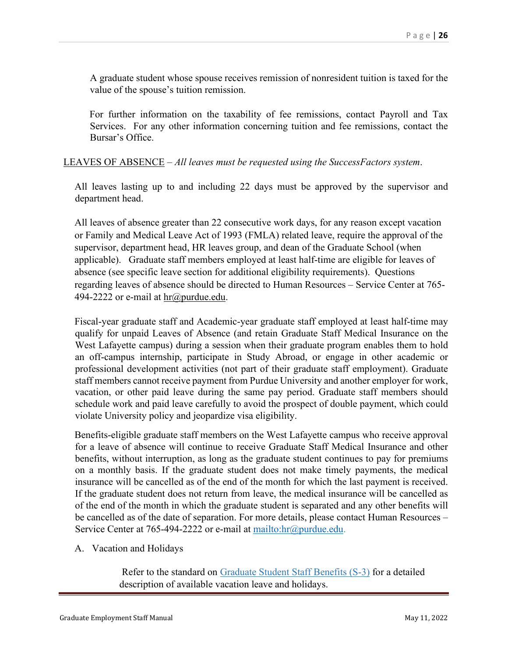A graduate student whose spouse receives remission of nonresident tuition is taxed for the value of the spouse's tuition remission.

For further information on the taxability of fee remissions, contact Payroll and Tax Services. For any other information concerning tuition and fee remissions, contact the Bursar's Office.

#### LEAVES OF ABSENCE – *All leaves must be requested using the SuccessFactors system*.

All leaves lasting up to and including 22 days must be approved by the supervisor and department head.

All leaves of absence greater than 22 consecutive work days, for any reason except vacation or Family and Medical Leave Act of 1993 (FMLA) related leave, require the approval of the supervisor, department head, HR leaves group, and dean of the Graduate School (when applicable). Graduate staff members employed at least half-time are eligible for leaves of absence (see specific leave section for additional eligibility requirements). Questions regarding leaves of absence should be directed to Human Resources – Service Center at 765 494-2222 or e-mail at [hr@purdue.edu.](mailto:hr@purdue.edu)

Fiscal-year graduate staff and Academic-year graduate staff employed at least half-time may qualify for unpaid Leaves of Absence (and retain Graduate Staff Medical Insurance on the West Lafayette campus) during a session when their graduate program enables them to hold an off-campus internship, participate in Study Abroad, or engage in other academic or professional development activities (not part of their graduate staff employment). Graduate staff members cannot receive payment from Purdue University and another employer for work, vacation, or other paid leave during the same pay period. Graduate staff members should schedule work and paid leave carefully to avoid the prospect of double payment, which could violate University policy and jeopardize visa eligibility.

Benefits-eligible graduate staff members on the West Lafayette campus who receive approval for a leave of absence will continue to receive Graduate Staff Medical Insurance and other benefits, without interruption, as long as the graduate student continues to pay for premiums on a monthly basis. If the graduate student does not make timely payments, the medical insurance will be cancelled as of the end of the month for which the last payment is received. If the graduate student does not return from leave, the medical insurance will be cancelled as of the end of the month in which the graduate student is separated and any other benefits will be cancelled as of the date of separation. For more details, please contact Human Resources – Service Center at 765-494-2222 or e-mail at [mailto:hr@purdue.edu.](mailto:hr@purdue.edu)

A. Vacation and Holidays

Refer to the standard on [Graduate Student Staff Benefits \(S-3\)](https://www.purdue.edu/policies/human-resources/s3.html) for a detailed description of available vacation leave and holidays.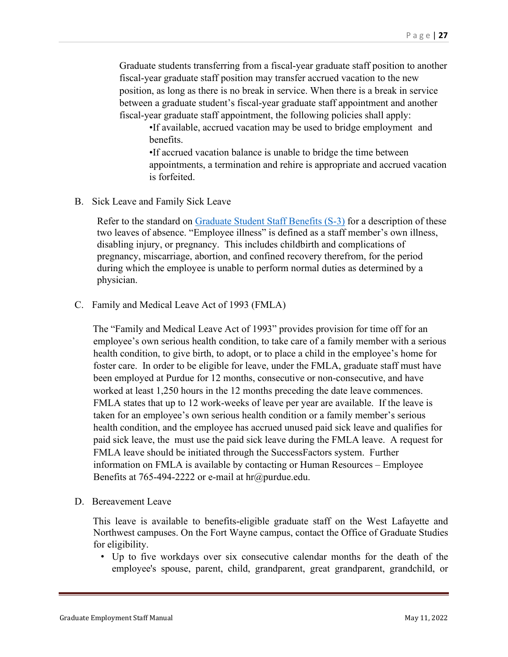Graduate students transferring from a fiscal-year graduate staff position to another fiscal-year graduate staff position may transfer accrued vacation to the new position, as long as there is no break in service. When there is a break in service between a graduate student's fiscal-year graduate staff appointment and another fiscal-year graduate staff appointment, the following policies shall apply:

•If available, accrued vacation may be used to bridge employment and benefits.

•If accrued vacation balance is unable to bridge the time between appointments, a termination and rehire is appropriate and accrued vacation is forfeited.

B. Sick Leave and Family Sick Leave

Refer to the standard on [Graduate Student Staff Benefits \(S-3\)](https://www.purdue.edu/policies/human-resources/s3.html) for a description of these two leaves of absence. "Employee illness" is defined as a staff member's own illness, disabling injury, or pregnancy. This includes childbirth and complications of pregnancy, miscarriage, abortion, and confined recovery therefrom, for the period during which the employee is unable to perform normal duties as determined by a physician.

C. Family and Medical Leave Act of 1993 (FMLA)

The "Family and Medical Leave Act of 1993" provides provision for time off for an employee's own serious health condition, to take care of a family member with a serious health condition, to give birth, to adopt, or to place a child in the employee's home for foster care. In order to be eligible for leave, under the FMLA, graduate staff must have been employed at Purdue for 12 months, consecutive or non-consecutive, and have worked at least 1,250 hours in the 12 months preceding the date leave commences. FMLA states that up to 12 work-weeks of leave per year are available. If the leave is taken for an employee's own serious health condition or a family member's serious health condition, and the employee has accrued unused paid sick leave and qualifies for paid sick leave, the must use the paid sick leave during the FMLA leave. A request for FMLA leave should be initiated through the SuccessFactors system. Further information on FMLA is available by contacting or Human Resources – Employee Benefits at 765-494-2222 or e-mail at hr@purdue.edu.

D. Bereavement Leave

This leave is available to benefits-eligible graduate staff on the West Lafayette and Northwest campuses. On the Fort Wayne campus, contact the Office of Graduate Studies for eligibility.

• Up to five workdays over six consecutive calendar months for the death of the employee's spouse, parent, child, grandparent, great grandparent, grandchild, or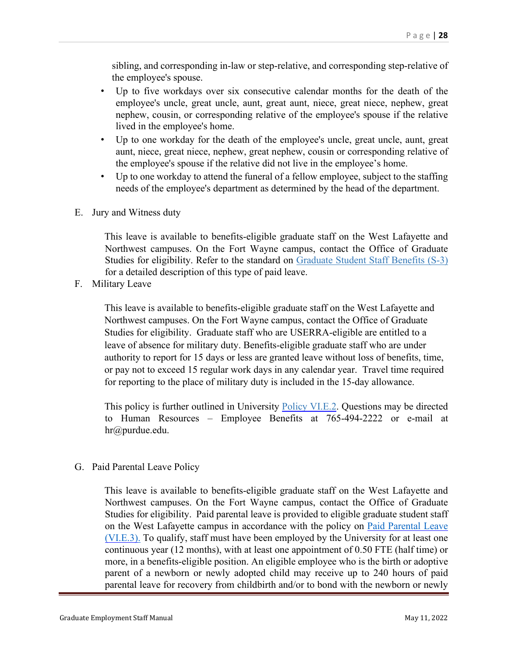sibling, and corresponding in-law or step-relative, and corresponding step-relative of the employee's spouse.

- Up to five workdays over six consecutive calendar months for the death of the employee's uncle, great uncle, aunt, great aunt, niece, great niece, nephew, great nephew, cousin, or corresponding relative of the employee's spouse if the relative lived in the employee's home.
- Up to one workday for the death of the employee's uncle, great uncle, aunt, great aunt, niece, great niece, nephew, great nephew, cousin or corresponding relative of the employee's spouse if the relative did not live in the employee's home.
- Up to one workday to attend the funeral of a fellow employee, subject to the staffing needs of the employee's department as determined by the head of the department.
- E. Jury and Witness duty

This leave is available to benefits-eligible graduate staff on the West Lafayette and Northwest campuses. On the Fort Wayne campus, contact the Office of Graduate Studies for eligibility. Refer to the standard on [Graduate Student Staff Benefits \(S-3\)](https://www.purdue.edu/policies/human-resources/s3.html) for a detailed description of this type of paid leave.

F. Military Leave

This leave is available to benefits-eligible graduate staff on the West Lafayette and Northwest campuses. On the Fort Wayne campus, contact the Office of Graduate Studies for eligibility. Graduate staff who are USERRA-eligible are entitled to a leave of absence for military duty. Benefits-eligible graduate staff who are under authority to report for 15 days or less are granted leave without loss of benefits, time, or pay not to exceed 15 regular work days in any calendar year. Travel time required for reporting to the place of military duty is included in the 15-day allowance.

This policy is further outlined in University **Policy VI.E.2**. Questions may be directed to Human Resources – Employee Benefits at 765-494-2222 or e-mail at hr@purdue.edu.

#### G. Paid Parental Leave Policy

This leave is available to benefits-eligible graduate staff on the West Lafayette and Northwest campuses. On the Fort Wayne campus, contact the Office of Graduate Studies for eligibility. Paid parental leave is provided to eligible graduate student staff on the West Lafayette campus in accordance with the policy on Paid Parental Leave [\(VI.E.3\).](https://www.purdue.edu/policies/human-resources/vie3.html) To qualify, staff must have been employed by the University for at least one continuous year (12 months), with at least one appointment of 0.50 FTE (half time) or more, in a benefits-eligible position. An eligible employee who is the birth or adoptive parent of a newborn or newly adopted child may receive up to 240 hours of paid parental leave for recovery from childbirth and/or to bond with the newborn or newly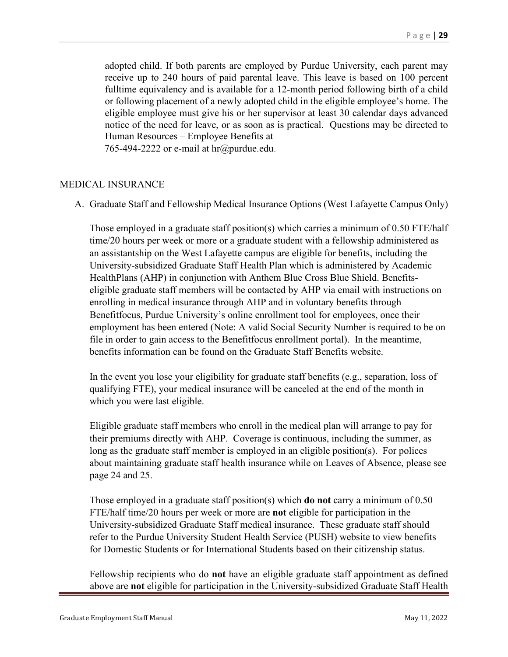adopted child. If both parents are employed by Purdue University, each parent may receive up to 240 hours of paid parental leave. This leave is based on 100 percent fulltime equivalency and is available for a 12-month period following birth of a child or following placement of a newly adopted child in the eligible employee's home. The eligible employee must give his or her supervisor at least 30 calendar days advanced notice of the need for leave, or as soon as is practical. Questions may be directed to Human Resources – Employee Benefits at

765-494-2222 or e-mail at  $\text{hr}\textcircled{a}$  purdue.edu.

#### MEDICAL INSURANCE

A. Graduate Staff and Fellowship Medical Insurance Options (West Lafayette Campus Only)

Those employed in a graduate staff position(s) which carries a minimum of 0.50 FTE/half time/20 hours per week or more or a graduate student with a fellowship administered as an assistantship on the West Lafayette campus are eligible for benefits, including the University-subsidized Graduate Staff Health Plan which is administered by Academic HealthPlans (AHP) in conjunction with Anthem Blue Cross Blue Shield. Benefitseligible graduate staff members will be contacted by AHP via email with instructions on enrolling in medical insurance through AHP and in voluntary benefits through Benefitfocus, Purdue University's online enrollment tool for employees, once their employment has been entered (Note: A valid Social Security Number is required to be on file in order to gain access to the Benefitfocus enrollment portal). In the meantime, benefits information can be found on the Graduate Staff Benefits website.

In the event you lose your eligibility for graduate staff benefits (e.g., separation, loss of qualifying FTE), your medical insurance will be canceled at the end of the month in which you were last eligible.

Eligible graduate staff members who enroll in the medical plan will arrange to pay for their premiums directly with AHP. Coverage is continuous, including the summer, as long as the graduate staff member is employed in an eligible position(s). For polices about maintaining graduate staff health insurance while on Leaves of Absence, please see page 24 and 25.

Those employed in a graduate staff position(s) which **do not** carry a minimum of 0.50 FTE/half time/20 hours per week or more are **not** eligible for participation in the University-subsidized Graduate Staff medical insurance. These graduate staff should refer to the Purdue University Student Health Service (PUSH) website to view benefits for Domestic Students or for International Students based on their citizenship status.

Fellowship recipients who do **not** have an eligible graduate staff appointment as defined above are **not** eligible for participation in the University-subsidized Graduate Staff Health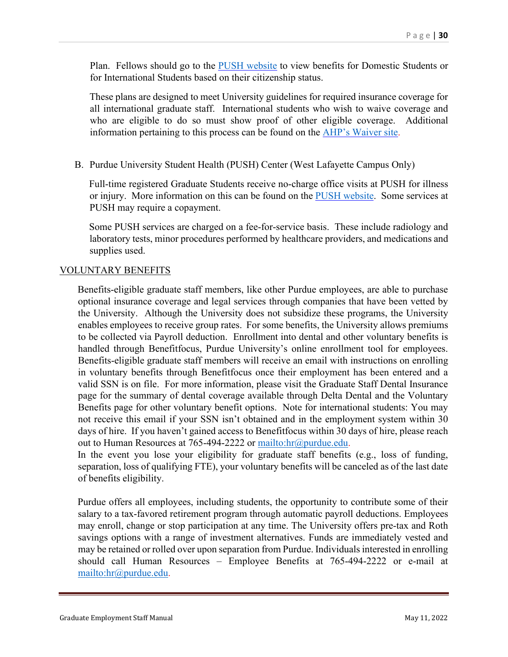Plan. Fellows should go to the **PUSH** website to view benefits for Domestic Students or for International Students based on their citizenship status.

These plans are designed to meet University guidelines for required insurance coverage for all international graduate staff. International students who wish to waive coverage and who are eligible to do so must show proof of other eligible coverage. Additional information pertaining to this process can be found on the [AHP's Waiver site.](https://www.purdue.edu/push/Insurance/Waivers/index.html)

B. Purdue University Student Health (PUSH) Center (West Lafayette Campus Only)

Full-time registered Graduate Students receive no-charge office visits at PUSH for illness or injury. More information on this can be found on the **PUSH** website. Some services at PUSH may require a copayment.

Some PUSH services are charged on a fee-for-service basis. These include radiology and laboratory tests, minor procedures performed by healthcare providers, and medications and supplies used.

#### VOLUNTARY BENEFITS

Benefits-eligible graduate staff members, like other Purdue employees, are able to purchase optional insurance coverage and legal services through companies that have been vetted by the University. Although the University does not subsidize these programs, the University enables employees to receive group rates. For some benefits, the University allows premiums to be collected via Payroll deduction. Enrollment into dental and other voluntary benefits is handled through Benefitfocus, Purdue University's online enrollment tool for employees. Benefits-eligible graduate staff members will receive an email with instructions on enrolling in voluntary benefits through Benefitfocus once their employment has been entered and a valid SSN is on file. For more information, please visit the Graduate Staff Dental Insurance page for the summary of dental coverage available through Delta Dental and the Voluntary Benefits page for other voluntary benefit options. Note for international students: You may not receive this email if your SSN isn't obtained and in the employment system within 30 days of hire. If you haven't gained access to Benefitfocus within 30 days of hire, please reach out to Human Resources at 765-494-2222 or [mailto:hr@purdue.edu.](mailto:hr@purdue.edu)

In the event you lose your eligibility for graduate staff benefits (e.g., loss of funding, separation, loss of qualifying FTE), your voluntary benefits will be canceled as of the last date of benefits eligibility.

Purdue offers all employees, including students, the opportunity to contribute some of their salary to a tax-favored retirement program through automatic payroll deductions. Employees may enroll, change or stop participation at any time. The University offers pre-tax and Roth savings options with a range of investment alternatives. Funds are immediately vested and may be retained or rolled over upon separation from Purdue. Individuals interested in enrolling should call Human Resources – Employee Benefits at 765-494-2222 or e-mail at [mailto:hr@purdue.edu.](mailto:hr@purdue.edu)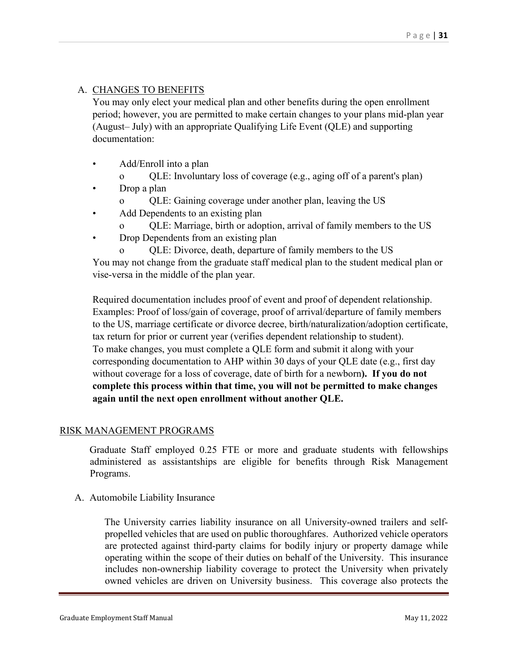#### A. CHANGES TO BENEFITS

You may only elect your medical plan and other benefits during the open enrollment period; however, you are permitted to make certain changes to your plans mid-plan year (August– July) with an appropriate Qualifying Life Event (QLE) and supporting documentation:

- Add/Enroll into a plan
	- o QLE: Involuntary loss of coverage (e.g., aging off of a parent's plan)
- Drop a plan
	- o QLE: Gaining coverage under another plan, leaving the US
- Add Dependents to an existing plan
	- QLE: Marriage, birth or adoption, arrival of family members to the US
- Drop Dependents from an existing plan

QLE: Divorce, death, departure of family members to the US You may not change from the graduate staff medical plan to the student medical plan or vise-versa in the middle of the plan year.

Required documentation includes proof of event and proof of dependent relationship. Examples: Proof of loss/gain of coverage, proof of arrival/departure of family members to the US, marriage certificate or divorce decree, birth/naturalization/adoption certificate, tax return for prior or current year (verifies dependent relationship to student). To make changes, you must complete a QLE form and submit it along with your corresponding documentation to AHP within 30 days of your QLE date (e.g., first day without coverage for a loss of coverage, date of birth for a newborn**). If you do not complete this process within that time, you will not be permitted to make changes again until the next open enrollment without another QLE.**

#### RISK MANAGEMENT PROGRAMS

Graduate Staff employed 0.25 FTE or more and graduate students with fellowships administered as assistantships are eligible for benefits through Risk Management Programs.

A. Automobile Liability Insurance

The University carries liability insurance on all University-owned trailers and selfpropelled vehicles that are used on public thoroughfares. Authorized vehicle operators are protected against third-party claims for bodily injury or property damage while operating within the scope of their duties on behalf of the University. This insurance includes non-ownership liability coverage to protect the University when privately owned vehicles are driven on University business. This coverage also protects the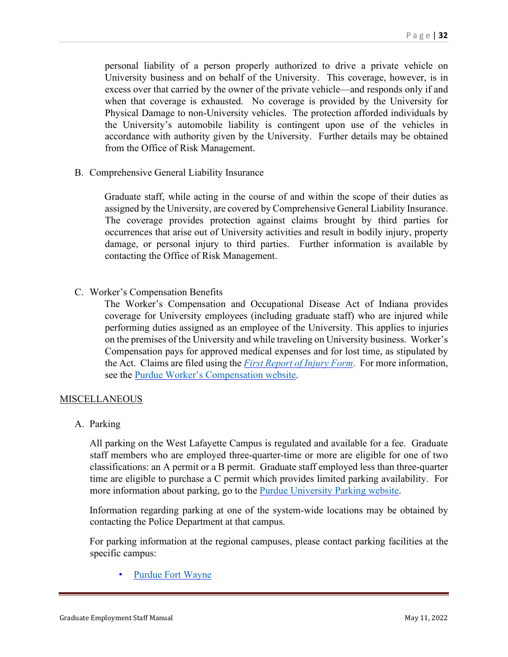personal liability of a person properly authorized to drive a private vehicle on University business and on behalf of the University. This coverage, however, is in excess over that carried by the owner of the private vehicle—and responds only if and when that coverage is exhausted. No coverage is provided by the University for Physical Damage to non-University vehicles. The protection afforded individuals by the University's automobile liability is contingent upon use of the vehicles in accordance with authority given by the University. Further details may be obtained from the Office of Risk Management.

B. Comprehensive General Liability Insurance

Graduate staff, while acting in the course of and within the scope of their duties as assigned by the University, are covered by Comprehensive General Liability Insurance. The coverage provides protection against claims brought by third parties for occurrences that arise out of University activities and result in bodily injury, property damage, or personal injury to third parties. Further information is available by contacting the Office of Risk Management.

C. Worker's Compensation Benefits

The Worker's Compensation and Occupational Disease Act of Indiana provides coverage for University employees (including graduate staff) who are injured while performing duties assigned as an employee of the University. This applies to injuries on the premises of the University and while traveling on University business. Worker's Compensation pays for approved medical expenses and for lost time, as stipulated by the Act. Claims are filed using the *[First Report of Injury Form](https://www.purdue.edu/ehps/rem/documents/forms/froi.pdf)*. For more information, see the [Purdue Worker's Compensation website.](https://www.purdue.edu/newsroom/purduetoday/releases/2016/Q3/human-resources-reminds-employees-of-workers-compensation-best-practices.html)

#### **MISCELLANEOUS**

A. Parking

All parking on the West Lafayette Campus is regulated and available for a fee. Graduate staff members who are employed three-quarter-time or more are eligible for one of two classifications: an A permit or a B permit. Graduate staff employed less than three-quarter time are eligible to purchase a C permit which provides limited parking availability. For more information about parking, go to the [Purdue University Parking website.](https://www.purdue.edu/parking/)

Information regarding parking at one of the system-wide locations may be obtained by contacting the Police Department at that campus.

For parking information at the regional campuses, please contact parking facilities at the specific campus:

[Purdue Fort Wayne](https://careers.purdue.edu/FW)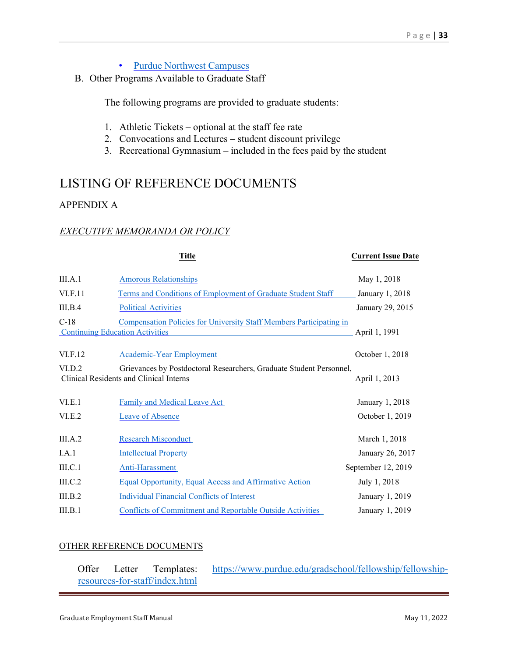- [Purdue Northwest Campuses](https://academics.pnw.edu/grad-school/?_ga=2.162773626.717505119.1578921010-6518525.1575982261)
- B. Other Programs Available to Graduate Staff

The following programs are provided to graduate students:

- 1. Athletic Tickets optional at the staff fee rate
- 2. Convocations and Lectures student discount privilege
- 3. Recreational Gymnasium included in the fees paid by the student

## LISTING OF REFERENCE DOCUMENTS

#### APPENDIX A

#### *EXECUTIVE MEMORANDA OR POLICY*

|         | <b>Title</b>                                                                                                   | <b>Current Issue Date</b> |
|---------|----------------------------------------------------------------------------------------------------------------|---------------------------|
| III.A.1 | <b>Amorous Relationships</b>                                                                                   | May 1, 2018               |
| VI.F.11 | Terms and Conditions of Employment of Graduate Student Staff                                                   | January 1, 2018           |
| III.B.4 | <b>Political Activities</b>                                                                                    | January 29, 2015          |
| $C-18$  | Compensation Policies for University Staff Members Participating in<br><b>Continuing Education Activities</b>  | April 1, 1991             |
| VI.F.12 | <b>Academic-Year Employment</b>                                                                                | October 1, 2018           |
| VI.D.2  | Grievances by Postdoctoral Researchers, Graduate Student Personnel,<br>Clinical Residents and Clinical Interns | April 1, 2013             |
| VI.E.1  | Family and Medical Leave Act                                                                                   | January 1, 2018           |
| VI.E.2  | <b>Leave of Absence</b>                                                                                        | October 1, 2019           |
| III.A.2 | <b>Research Misconduct</b>                                                                                     | March 1, 2018             |
| I.A.1   | <b>Intellectual Property</b>                                                                                   | January 26, 2017          |
| III.C.1 | Anti-Harassment                                                                                                | September 12, 2019        |
| III.C.2 | Equal Opportunity, Equal Access and Affirmative Action                                                         | July 1, 2018              |
| III.B.2 | <b>Individual Financial Conflicts of Interest</b>                                                              | January 1, 2019           |
| III.B.1 | <b>Conflicts of Commitment and Reportable Outside Activities</b>                                               | January 1, 2019           |

#### OTHER REFERENCE DOCUMENTS

| Offer | Letter | Templates:                     | https://www.purdue.edu/gradschool/fellowship/fellowship- |
|-------|--------|--------------------------------|----------------------------------------------------------|
|       |        | resources-for-staff/index.html |                                                          |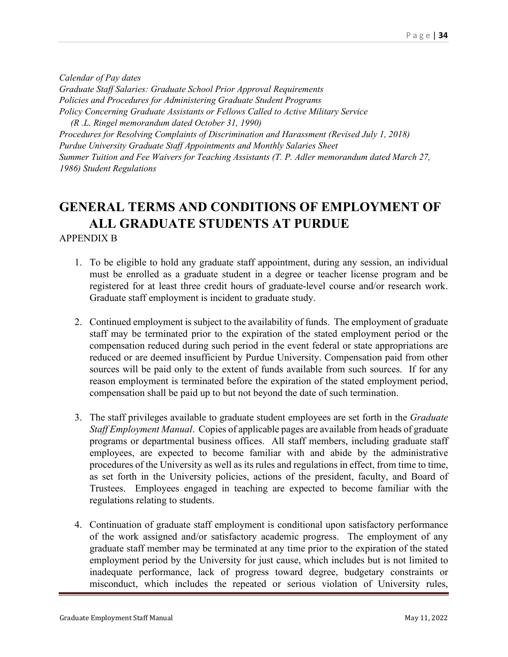*Calendar of Pay dates Graduate Staff Salaries: Graduate School Prior Approval Requirements Policies and Procedures for Administering Graduate Student Programs Policy Concerning Graduate Assistants or Fellows Called to Active Military Service (R .L. Ringel memorandum dated October 31, 1990)* 

*Procedures for Resolving Complaints of Discrimination and Harassment (Revised July 1, 2018) Purdue University Graduate Staff Appointments and Monthly Salaries Sheet Summer Tuition and Fee Waivers for Teaching Assistants (T. P. Adler memorandum dated March 27, 1986) Student Regulations* 

## **GENERAL TERMS AND CONDITIONS OF EMPLOYMENT OF ALL GRADUATE STUDENTS AT PURDUE**  APPENDIX B

- 1. To be eligible to hold any graduate staff appointment, during any session, an individual must be enrolled as a graduate student in a degree or teacher license program and be registered for at least three credit hours of graduate-level course and/or research work. Graduate staff employment is incident to graduate study.
- 2. Continued employment is subject to the availability of funds. The employment of graduate staff may be terminated prior to the expiration of the stated employment period or the compensation reduced during such period in the event federal or state appropriations are reduced or are deemed insufficient by Purdue University. Compensation paid from other sources will be paid only to the extent of funds available from such sources. If for any reason employment is terminated before the expiration of the stated employment period, compensation shall be paid up to but not beyond the date of such termination.
- 3. The staff privileges available to graduate student employees are set forth in the *Graduate Staff Employment Manual*. Copies of applicable pages are available from heads of graduate programs or departmental business offices. All staff members, including graduate staff employees, are expected to become familiar with and abide by the administrative procedures of the University as well as its rules and regulations in effect, from time to time, as set forth in the University policies, actions of the president, faculty, and Board of Trustees. Employees engaged in teaching are expected to become familiar with the regulations relating to students.
- 4. Continuation of graduate staff employment is conditional upon satisfactory performance of the work assigned and/or satisfactory academic progress. The employment of any graduate staff member may be terminated at any time prior to the expiration of the stated employment period by the University for just cause, which includes but is not limited to inadequate performance, lack of progress toward degree, budgetary constraints or misconduct, which includes the repeated or serious violation of University rules,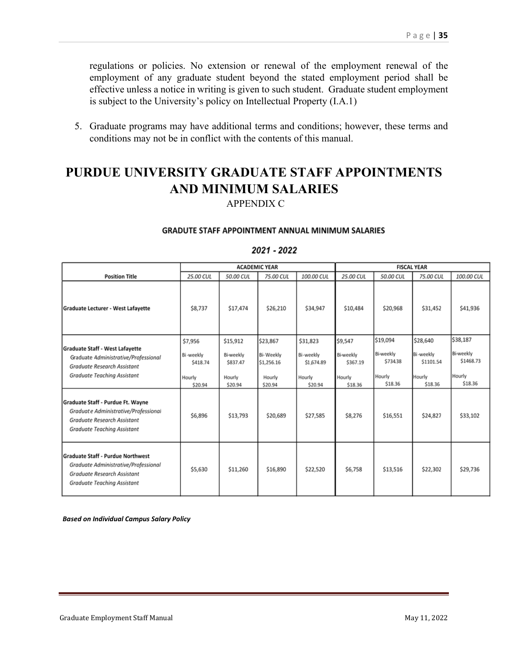regulations or policies. No extension or renewal of the employment renewal of the employment of any graduate student beyond the stated employment period shall be effective unless a notice in writing is given to such student. Graduate student employment is subject to the University's policy on Intellectual Property (I.A.1)

5. Graduate programs may have additional terms and conditions; however, these terms and conditions may not be in conflict with the contents of this manual.

## **PURDUE UNIVERSITY GRADUATE STAFF APPOINTMENTS AND MINIMUM SALARIES**  APPENDIX C

#### **GRADUTE STAFF APPOINTMENT ANNUAL MINIMUM SALARIES**

#### **ACADEMIC YEAR FISCAL YEAR Position Title** 25.00 CUL 50.00 CUL 75.00 CUL 100.00 CUL 25.00 CUL 50.00 CUL 75.00 CUL 100.00 CUL \$17.474 \$8.737 \$26,210 \$34,947 \$10,484 \$20.968 \$31,452 \$41,936 Graduate Lecturer - West Lafayette \$19,094 \$38,187 \$28,640 \$7,956 \$15,912 \$23,867 \$31,823 \$9,547 **Graduate Staff - West Lafayette** Bi-weekly Bi-weekly Bi-Weekly Bi-weekly **Bi-weekly Bi-weekly** Bi-weekly **Bi-weekly** Graduate Administrative/Professional \$73438 \$1101.54 \$1468.73 \$837.47 \$1,256.16 \$1,674.89 \$418.74 \$367.19 Graduate Research Assistant **Graduate Teaching Assistant** Hourly Hourly Hourly Hourly Hourly Hourly Hourly Hourly \$18.36 \$18.36 \$18.36 \$20.94 \$20.94 \$18.36 \$20.94 \$20.94 Graduate Staff - Purdue Ft. Wayne Graduate Administrative/Professional \$6,896 \$13,793 \$20,689 \$27,585 \$8,276 \$16,551 \$24,827 \$33.102 Graduate Research Assistant **Graduate Teaching Assistant Graduate Staff - Purdue Northwest** Graduate Administrative/Professional \$5,630 \$11,260 \$16,890 \$22,520 \$6,758 \$13,516 \$22,302 \$29,736 **Graduate Research Assistant Graduate Teaching Assistant**

#### 2021 - 2022

*Based on Individual Campus Salary Policy*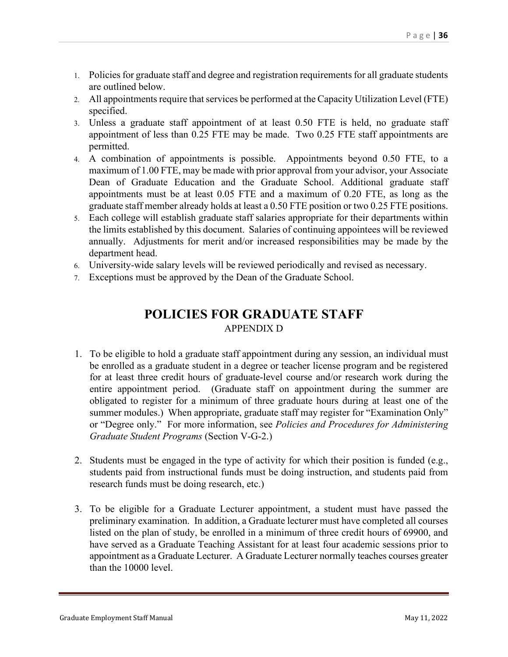- 1. Policies for graduate staff and degree and registration requirements for all graduate students are outlined below.
- 2. All appointments require that services be performed at the Capacity Utilization Level (FTE) specified.
- 3. Unless a graduate staff appointment of at least 0.50 FTE is held, no graduate staff appointment of less than 0.25 FTE may be made. Two 0.25 FTE staff appointments are permitted.
- 4. A combination of appointments is possible. Appointments beyond 0.50 FTE, to a maximum of 1.00 FTE, may be made with prior approval from your advisor, your Associate Dean of Graduate Education and the Graduate School. Additional graduate staff appointments must be at least 0.05 FTE and a maximum of 0.20 FTE, as long as the graduate staff member already holds at least a 0.50 FTE position or two 0.25 FTE positions.
- 5. Each college will establish graduate staff salaries appropriate for their departments within the limits established by this document. Salaries of continuing appointees will be reviewed annually. Adjustments for merit and/or increased responsibilities may be made by the department head.
- 6. University-wide salary levels will be reviewed periodically and revised as necessary.
- 7. Exceptions must be approved by the Dean of the Graduate School.

## **POLICIES FOR GRADUATE STAFF** APPENDIX D

- 1. To be eligible to hold a graduate staff appointment during any session, an individual must be enrolled as a graduate student in a degree or teacher license program and be registered for at least three credit hours of graduate-level course and/or research work during the entire appointment period. (Graduate staff on appointment during the summer are obligated to register for a minimum of three graduate hours during at least one of the summer modules.) When appropriate, graduate staff may register for "Examination Only" or "Degree only." For more information, see *Policies and Procedures for Administering Graduate Student Programs* (Section V-G-2.)
- 2. Students must be engaged in the type of activity for which their position is funded (e.g., students paid from instructional funds must be doing instruction, and students paid from research funds must be doing research, etc.)
- 3. To be eligible for a Graduate Lecturer appointment, a student must have passed the preliminary examination. In addition, a Graduate lecturer must have completed all courses listed on the plan of study, be enrolled in a minimum of three credit hours of 69900, and have served as a Graduate Teaching Assistant for at least four academic sessions prior to appointment as a Graduate Lecturer. A Graduate Lecturer normally teaches courses greater than the 10000 level.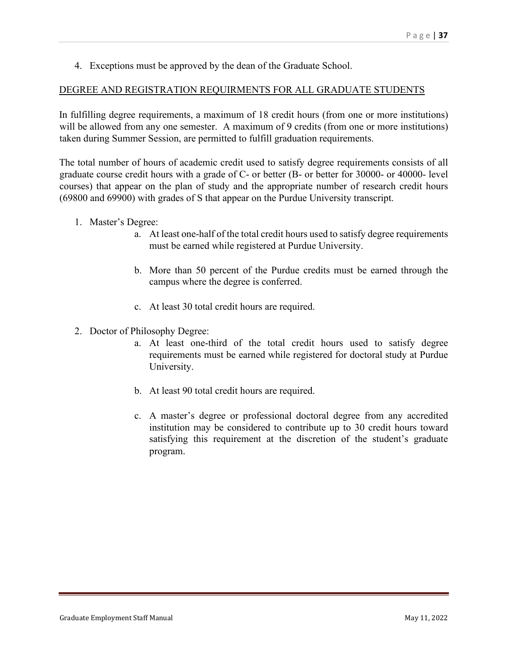4. Exceptions must be approved by the dean of the Graduate School.

#### DEGREE AND REGISTRATION REQUIRMENTS FOR ALL GRADUATE STUDENTS

In fulfilling degree requirements, a maximum of 18 credit hours (from one or more institutions) will be allowed from any one semester. A maximum of 9 credits (from one or more institutions) taken during Summer Session, are permitted to fulfill graduation requirements.

The total number of hours of academic credit used to satisfy degree requirements consists of all graduate course credit hours with a grade of C- or better (B- or better for 30000- or 40000- level courses) that appear on the plan of study and the appropriate number of research credit hours (69800 and 69900) with grades of S that appear on the Purdue University transcript.

- 1. Master's Degree:
	- a. At least one-half of the total credit hours used to satisfy degree requirements must be earned while registered at Purdue University.
	- b. More than 50 percent of the Purdue credits must be earned through the campus where the degree is conferred.
	- c. At least 30 total credit hours are required.
- 2. Doctor of Philosophy Degree:
	- a. At least one-third of the total credit hours used to satisfy degree requirements must be earned while registered for doctoral study at Purdue University.
	- b. At least 90 total credit hours are required.
	- c. A master's degree or professional doctoral degree from any accredited institution may be considered to contribute up to 30 credit hours toward satisfying this requirement at the discretion of the student's graduate program.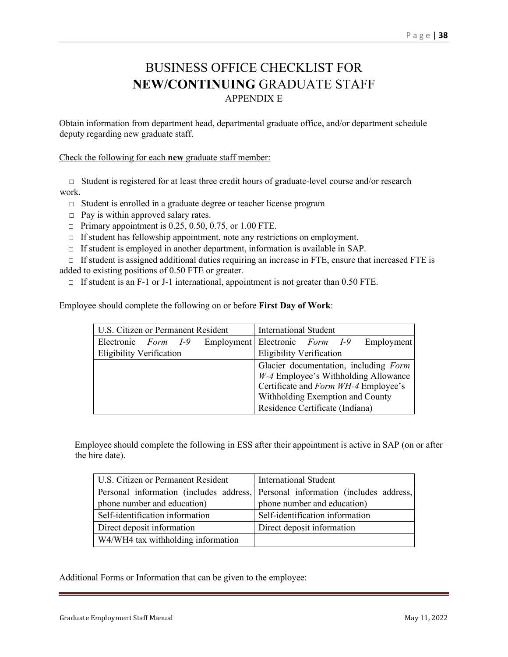## BUSINESS OFFICE CHECKLIST FOR **NEW/CONTINUING** GRADUATE STAFF APPENDIX E

Obtain information from department head, departmental graduate office, and/or department schedule deputy regarding new graduate staff.

Check the following for each **new** graduate staff member:

 **□** Student is registered for at least three credit hours of graduate-level course and/or research work.

- □ Student is enrolled in a graduate degree or teacher license program
- $\Box$  Pay is within approved salary rates.
- $\Box$  Primary appointment is 0.25, 0.50, 0.75, or 1.00 FTE.
- $\Box$  If student has fellowship appointment, note any restrictions on employment.
- □ If student is employed in another department, information is available in SAP.

 $\Box$  If student is assigned additional duties requiring an increase in FTE, ensure that increased FTE is added to existing positions of 0.50 FTE or greater.

 $\Box$  If student is an F-1 or J-1 international, appointment is not greater than 0.50 FTE.

Employee should complete the following on or before **First Day of Work**:

| U.S. Citizen or Permanent Resident |  |                                      | <b>International Student</b>    |                                  |  |  |                                       |
|------------------------------------|--|--------------------------------------|---------------------------------|----------------------------------|--|--|---------------------------------------|
| Electronic Form I-9                |  |                                      | Employment Electronic Form I-9  |                                  |  |  | Employment                            |
| <b>Eligibility Verification</b>    |  |                                      | <b>Eligibility Verification</b> |                                  |  |  |                                       |
|                                    |  |                                      |                                 |                                  |  |  | Glacier documentation, including Form |
|                                    |  |                                      |                                 |                                  |  |  | W-4 Employee's Withholding Allowance  |
|                                    |  | Certificate and Form WH-4 Employee's |                                 |                                  |  |  |                                       |
|                                    |  |                                      |                                 | Withholding Exemption and County |  |  |                                       |
|                                    |  |                                      |                                 | Residence Certificate (Indiana)  |  |  |                                       |

Employee should complete the following in ESS after their appointment is active in SAP (on or after the hire date).

| <b>U.S. Citizen or Permanent Resident</b>                                       | International Student           |  |  |  |  |
|---------------------------------------------------------------------------------|---------------------------------|--|--|--|--|
| Personal information (includes address, Personal information (includes address, |                                 |  |  |  |  |
| phone number and education)                                                     | phone number and education)     |  |  |  |  |
| Self-identification information                                                 | Self-identification information |  |  |  |  |
| Direct deposit information                                                      | Direct deposit information      |  |  |  |  |
| W4/WH4 tax withholding information                                              |                                 |  |  |  |  |

Additional Forms or Information that can be given to the employee: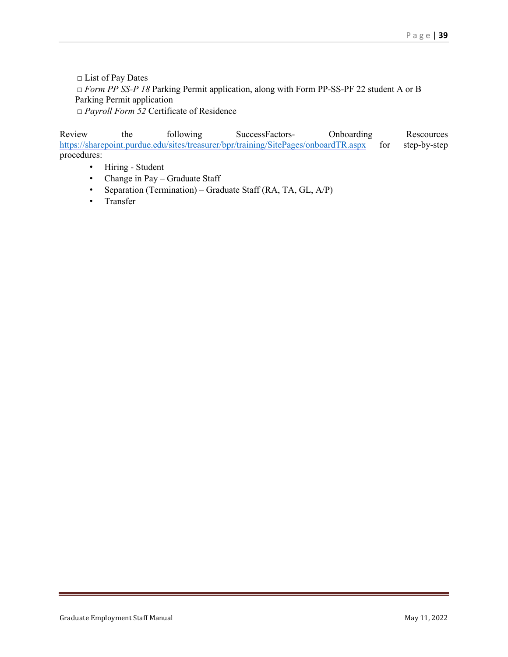□ List of Pay Dates □ *Form PP SS-P 18* Parking Permit application, along with Form PP-SS-PF 22 student A or B Parking Permit application

□ *Payroll Form 52* Certificate of Residence

Review the following SuccessFactors- Onboarding Rescources <https://sharepoint.purdue.edu/sites/treasurer/bpr/training/SitePages/onboardTR.aspx> for step-by-step procedures:

- Hiring Student
- Change in Pay Graduate Staff
- Separation (Termination) Graduate Staff (RA, TA, GL, A/P)
- Transfer